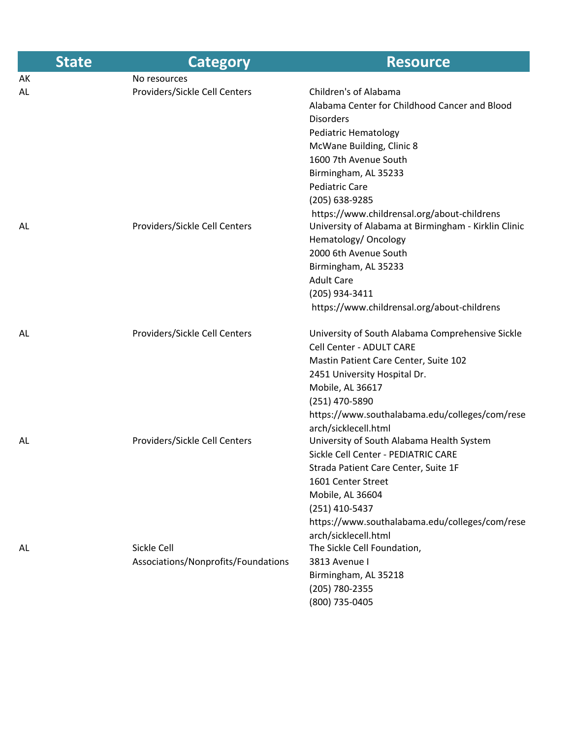| <b>State</b> | <b>Category</b>                     | <b>Resource</b>                                      |
|--------------|-------------------------------------|------------------------------------------------------|
| АK           | No resources                        |                                                      |
| AL           | Providers/Sickle Cell Centers       | Children's of Alabama                                |
|              |                                     | Alabama Center for Childhood Cancer and Blood        |
|              |                                     | <b>Disorders</b>                                     |
|              |                                     | Pediatric Hematology                                 |
|              |                                     | McWane Building, Clinic 8                            |
|              |                                     | 1600 7th Avenue South                                |
|              |                                     | Birmingham, AL 35233                                 |
|              |                                     | <b>Pediatric Care</b>                                |
|              |                                     | (205) 638-9285                                       |
|              |                                     | https://www.childrensal.org/about-childrens          |
| AL           | Providers/Sickle Cell Centers       | University of Alabama at Birmingham - Kirklin Clinic |
|              |                                     | Hematology/ Oncology                                 |
|              |                                     | 2000 6th Avenue South                                |
|              |                                     | Birmingham, AL 35233                                 |
|              |                                     | <b>Adult Care</b>                                    |
|              |                                     | (205) 934-3411                                       |
|              |                                     | https://www.childrensal.org/about-childrens          |
| AL           | Providers/Sickle Cell Centers       | University of South Alabama Comprehensive Sickle     |
|              |                                     | Cell Center - ADULT CARE                             |
|              |                                     | Mastin Patient Care Center, Suite 102                |
|              |                                     | 2451 University Hospital Dr.                         |
|              |                                     | Mobile, AL 36617                                     |
|              |                                     | (251) 470-5890                                       |
|              |                                     | https://www.southalabama.edu/colleges/com/rese       |
|              |                                     | arch/sicklecell.html                                 |
| AL           | Providers/Sickle Cell Centers       | University of South Alabama Health System            |
|              |                                     | Sickle Cell Center - PEDIATRIC CARE                  |
|              |                                     | Strada Patient Care Center, Suite 1F                 |
|              |                                     | 1601 Center Street                                   |
|              |                                     | Mobile, AL 36604                                     |
|              |                                     | (251) 410-5437                                       |
|              |                                     | https://www.southalabama.edu/colleges/com/rese       |
|              |                                     | arch/sicklecell.html                                 |
| AL.          | Sickle Cell                         | The Sickle Cell Foundation,                          |
|              | Associations/Nonprofits/Foundations | 3813 Avenue I                                        |
|              |                                     | Birmingham, AL 35218                                 |
|              |                                     | (205) 780-2355                                       |
|              |                                     | (800) 735-0405                                       |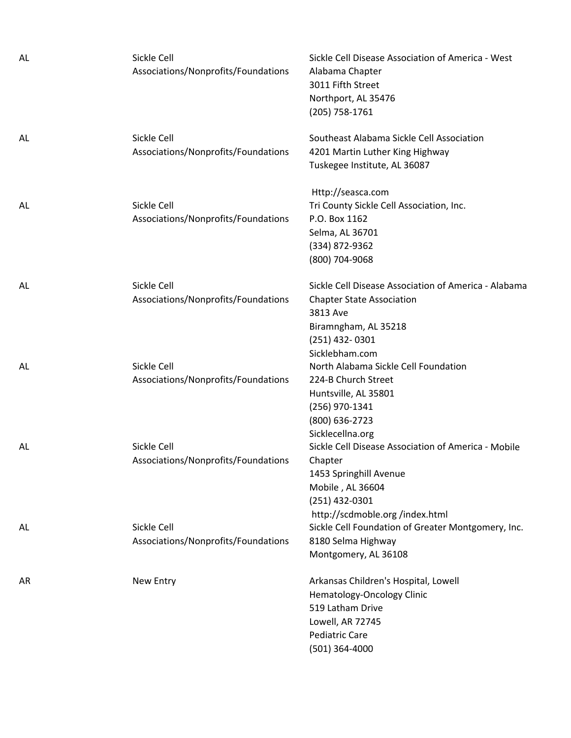| AL. | Sickle Cell<br>Associations/Nonprofits/Foundations | Sickle Cell Disease Association of America - West<br>Alabama Chapter<br>3011 Fifth Street<br>Northport, AL 35476<br>(205) 758-1761                                 |
|-----|----------------------------------------------------|--------------------------------------------------------------------------------------------------------------------------------------------------------------------|
| AL. | Sickle Cell<br>Associations/Nonprofits/Foundations | Southeast Alabama Sickle Cell Association<br>4201 Martin Luther King Highway<br>Tuskegee Institute, AL 36087                                                       |
| AL  | Sickle Cell<br>Associations/Nonprofits/Foundations | Http://seasca.com<br>Tri County Sickle Cell Association, Inc.<br>P.O. Box 1162<br>Selma, AL 36701<br>(334) 872-9362<br>(800) 704-9068                              |
| AL. | Sickle Cell<br>Associations/Nonprofits/Foundations | Sickle Cell Disease Association of America - Alabama<br><b>Chapter State Association</b><br>3813 Ave<br>Biramngham, AL 35218<br>$(251)$ 432-0301<br>Sicklebham.com |
| AL. | Sickle Cell<br>Associations/Nonprofits/Foundations | North Alabama Sickle Cell Foundation<br>224-B Church Street<br>Huntsville, AL 35801<br>(256) 970-1341<br>(800) 636-2723<br>Sicklecellna.org                        |
| AL. | Sickle Cell<br>Associations/Nonprofits/Foundations | Sickle Cell Disease Association of America - Mobile<br>Chapter<br>1453 Springhill Avenue<br>Mobile, AL 36604<br>(251) 432-0301<br>http://scdmoble.org/index.html   |
| AL. | Sickle Cell<br>Associations/Nonprofits/Foundations | Sickle Cell Foundation of Greater Montgomery, Inc.<br>8180 Selma Highway<br>Montgomery, AL 36108                                                                   |
| AR  | New Entry                                          | Arkansas Children's Hospital, Lowell<br>Hematology-Oncology Clinic<br>519 Latham Drive<br>Lowell, AR 72745<br>Pediatric Care<br>(501) 364-4000                     |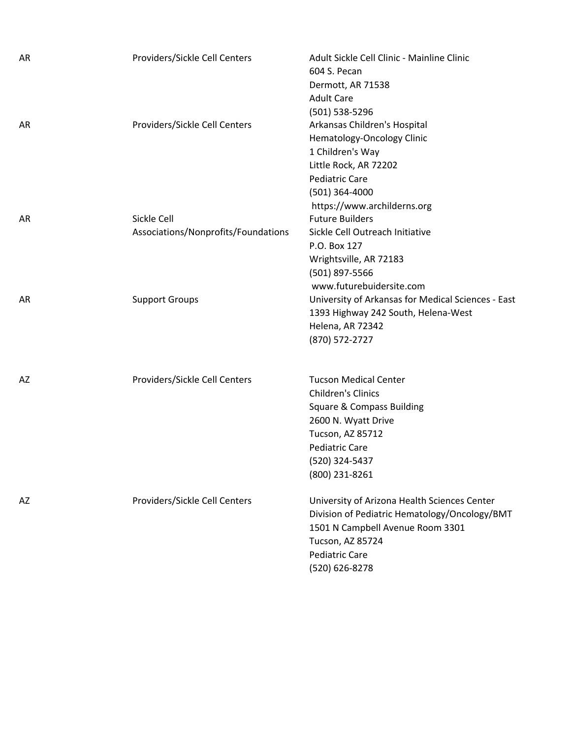| AR | Providers/Sickle Cell Centers                      | Adult Sickle Cell Clinic - Mainline Clinic<br>604 S. Pecan<br>Dermott, AR 71538<br><b>Adult Care</b><br>(501) 538-5296                                                                                    |
|----|----------------------------------------------------|-----------------------------------------------------------------------------------------------------------------------------------------------------------------------------------------------------------|
| AR | Providers/Sickle Cell Centers                      | Arkansas Children's Hospital<br>Hematology-Oncology Clinic<br>1 Children's Way<br>Little Rock, AR 72202<br><b>Pediatric Care</b><br>(501) 364-4000<br>https://www.archilderns.org                         |
| AR | Sickle Cell<br>Associations/Nonprofits/Foundations | <b>Future Builders</b><br>Sickle Cell Outreach Initiative<br>P.O. Box 127<br>Wrightsville, AR 72183<br>(501) 897-5566<br>www.futurebuidersite.com                                                         |
| AR | <b>Support Groups</b>                              | University of Arkansas for Medical Sciences - East<br>1393 Highway 242 South, Helena-West<br>Helena, AR 72342<br>(870) 572-2727                                                                           |
| AZ | Providers/Sickle Cell Centers                      | <b>Tucson Medical Center</b><br><b>Children's Clinics</b><br><b>Square &amp; Compass Building</b><br>2600 N. Wyatt Drive<br>Tucson, AZ 85712<br><b>Pediatric Care</b><br>(520) 324-5437<br>(800) 231-8261 |
| AZ | Providers/Sickle Cell Centers                      | University of Arizona Health Sciences Center<br>Division of Pediatric Hematology/Oncology/BMT<br>1501 N Campbell Avenue Room 3301<br>Tucson, AZ 85724<br><b>Pediatric Care</b><br>(520) 626-8278          |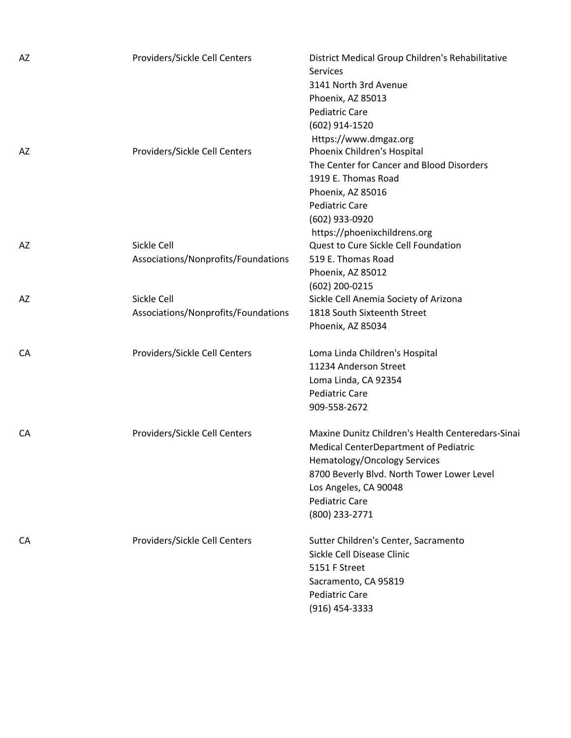| AZ | Providers/Sickle Cell Centers                      | District Medical Group Children's Rehabilitative<br><b>Services</b><br>3141 North 3rd Avenue<br>Phoenix, AZ 85013<br><b>Pediatric Care</b><br>(602) 914-1520                                                                                        |
|----|----------------------------------------------------|-----------------------------------------------------------------------------------------------------------------------------------------------------------------------------------------------------------------------------------------------------|
| AZ | Providers/Sickle Cell Centers                      | Https://www.dmgaz.org<br>Phoenix Children's Hospital<br>The Center for Cancer and Blood Disorders<br>1919 E. Thomas Road<br>Phoenix, AZ 85016<br><b>Pediatric Care</b><br>(602) 933-0920<br>https://phoenixchildrens.org                            |
| AZ | Sickle Cell<br>Associations/Nonprofits/Foundations | Quest to Cure Sickle Cell Foundation<br>519 E. Thomas Road<br>Phoenix, AZ 85012<br>(602) 200-0215                                                                                                                                                   |
| AZ | Sickle Cell<br>Associations/Nonprofits/Foundations | Sickle Cell Anemia Society of Arizona<br>1818 South Sixteenth Street<br>Phoenix, AZ 85034                                                                                                                                                           |
| CA | Providers/Sickle Cell Centers                      | Loma Linda Children's Hospital<br>11234 Anderson Street<br>Loma Linda, CA 92354<br><b>Pediatric Care</b><br>909-558-2672                                                                                                                            |
| CA | Providers/Sickle Cell Centers                      | Maxine Dunitz Children's Health Centeredars-Sinai<br>Medical CenterDepartment of Pediatric<br><b>Hematology/Oncology Services</b><br>8700 Beverly Blvd. North Tower Lower Level<br>Los Angeles, CA 90048<br><b>Pediatric Care</b><br>(800) 233-2771 |
| CA | Providers/Sickle Cell Centers                      | Sutter Children's Center, Sacramento<br>Sickle Cell Disease Clinic<br>5151 F Street<br>Sacramento, CA 95819<br><b>Pediatric Care</b><br>$(916)$ 454-3333                                                                                            |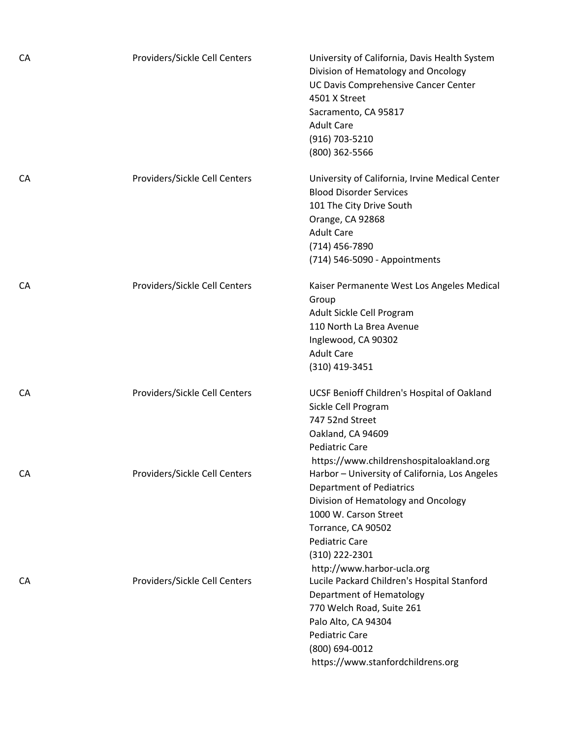| CA | Providers/Sickle Cell Centers | University of California, Davis Health System<br>Division of Hematology and Oncology<br>UC Davis Comprehensive Cancer Center<br>4501 X Street<br>Sacramento, CA 95817<br><b>Adult Care</b><br>(916) 703-5210<br>(800) 362-5566                   |
|----|-------------------------------|--------------------------------------------------------------------------------------------------------------------------------------------------------------------------------------------------------------------------------------------------|
| CA | Providers/Sickle Cell Centers | University of California, Irvine Medical Center<br><b>Blood Disorder Services</b><br>101 The City Drive South<br>Orange, CA 92868<br><b>Adult Care</b><br>(714) 456-7890<br>(714) 546-5090 - Appointments                                        |
| CA | Providers/Sickle Cell Centers | Kaiser Permanente West Los Angeles Medical<br>Group<br>Adult Sickle Cell Program<br>110 North La Brea Avenue<br>Inglewood, CA 90302<br><b>Adult Care</b><br>(310) 419-3451                                                                       |
| CA | Providers/Sickle Cell Centers | UCSF Benioff Children's Hospital of Oakland<br>Sickle Cell Program<br>747 52nd Street<br>Oakland, CA 94609<br><b>Pediatric Care</b><br>https://www.childrenshospitaloakland.org                                                                  |
| CA | Providers/Sickle Cell Centers | Harbor - University of California, Los Angeles<br><b>Department of Pediatrics</b><br>Division of Hematology and Oncology<br>1000 W. Carson Street<br>Torrance, CA 90502<br><b>Pediatric Care</b><br>(310) 222-2301<br>http://www.harbor-ucla.org |
| СA | Providers/Sickle Cell Centers | Lucile Packard Children's Hospital Stanford<br>Department of Hematology<br>770 Welch Road, Suite 261<br>Palo Alto, CA 94304<br><b>Pediatric Care</b><br>(800) 694-0012<br>https://www.stanfordchildrens.org                                      |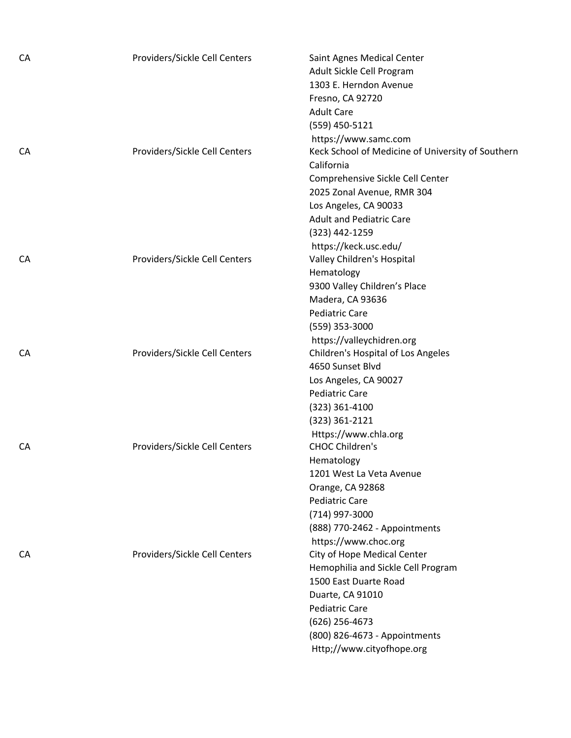| CA | Providers/Sickle Cell Centers | Saint Agnes Medical Center                                                     |
|----|-------------------------------|--------------------------------------------------------------------------------|
|    |                               | Adult Sickle Cell Program                                                      |
|    |                               | 1303 E. Herndon Avenue                                                         |
|    |                               | Fresno, CA 92720                                                               |
|    |                               | <b>Adult Care</b>                                                              |
|    |                               | (559) 450-5121                                                                 |
|    |                               | https://www.samc.com                                                           |
| CA | Providers/Sickle Cell Centers | Keck School of Medicine of University of Southern                              |
|    |                               | California                                                                     |
|    |                               | Comprehensive Sickle Cell Center                                               |
|    |                               | 2025 Zonal Avenue, RMR 304                                                     |
|    |                               | Los Angeles, CA 90033                                                          |
|    |                               | <b>Adult and Pediatric Care</b>                                                |
|    |                               | (323) 442-1259                                                                 |
|    |                               | https://keck.usc.edu/                                                          |
| CA | Providers/Sickle Cell Centers | Valley Children's Hospital                                                     |
|    |                               | Hematology                                                                     |
|    |                               | 9300 Valley Children's Place                                                   |
|    |                               | Madera, CA 93636                                                               |
|    |                               | <b>Pediatric Care</b>                                                          |
|    |                               | (559) 353-3000                                                                 |
|    |                               | https://valleychidren.org                                                      |
| CA | Providers/Sickle Cell Centers | Children's Hospital of Los Angeles                                             |
|    |                               | 4650 Sunset Blvd                                                               |
|    |                               | Los Angeles, CA 90027                                                          |
|    |                               | <b>Pediatric Care</b>                                                          |
|    |                               | $(323)$ 361-4100                                                               |
|    |                               | (323) 361-2121                                                                 |
|    |                               | Https://www.chla.org                                                           |
| CA | Providers/Sickle Cell Centers | <b>CHOC Children's</b>                                                         |
|    |                               | Hematology                                                                     |
|    |                               | 1201 West La Veta Avenue                                                       |
|    |                               | Orange, CA 92868                                                               |
|    |                               | <b>Pediatric Care</b>                                                          |
|    |                               | (714) 997-3000                                                                 |
|    |                               | (888) 770-2462 - Appointments                                                  |
|    |                               | https://www.choc.org                                                           |
| CA | Providers/Sickle Cell Centers | City of Hope Medical Center                                                    |
|    |                               | Hemophilia and Sickle Cell Program                                             |
|    |                               | 1500 East Duarte Road                                                          |
|    |                               |                                                                                |
|    |                               | <b>Pediatric Care</b>                                                          |
|    |                               | $(626)$ 256-4673                                                               |
|    |                               |                                                                                |
|    |                               |                                                                                |
|    |                               | Duarte, CA 91010<br>(800) 826-4673 - Appointments<br>Http;//www.cityofhope.org |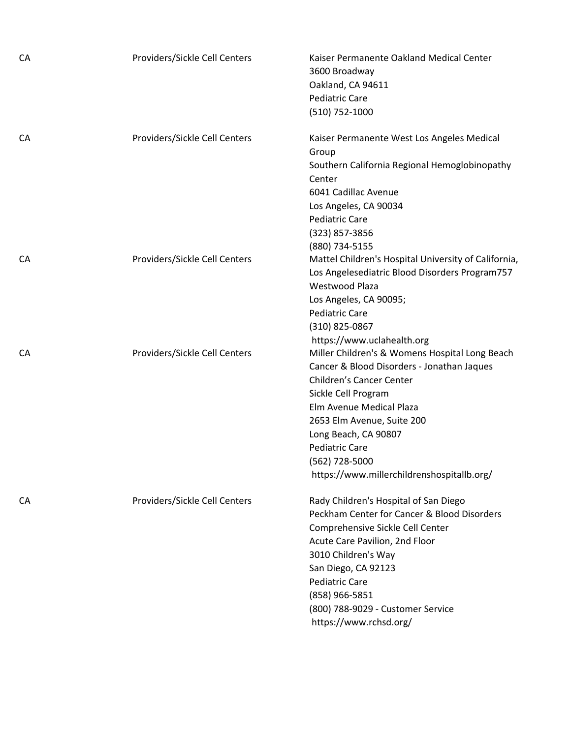| CA | Providers/Sickle Cell Centers | Kaiser Permanente Oakland Medical Center<br>3600 Broadway<br>Oakland, CA 94611<br><b>Pediatric Care</b><br>$(510)$ 752-1000                                                                                                                                                                                                                              |
|----|-------------------------------|----------------------------------------------------------------------------------------------------------------------------------------------------------------------------------------------------------------------------------------------------------------------------------------------------------------------------------------------------------|
| CA | Providers/Sickle Cell Centers | Kaiser Permanente West Los Angeles Medical<br>Group<br>Southern California Regional Hemoglobinopathy<br>Center<br>6041 Cadillac Avenue<br>Los Angeles, CA 90034<br><b>Pediatric Care</b><br>(323) 857-3856                                                                                                                                               |
| CA | Providers/Sickle Cell Centers | (880) 734-5155<br>Mattel Children's Hospital University of California,<br>Los Angelesediatric Blood Disorders Program757<br>Westwood Plaza<br>Los Angeles, CA 90095;<br><b>Pediatric Care</b><br>(310) 825-0867                                                                                                                                          |
| CA | Providers/Sickle Cell Centers | https://www.uclahealth.org<br>Miller Children's & Womens Hospital Long Beach<br>Cancer & Blood Disorders - Jonathan Jaques<br>Children's Cancer Center<br>Sickle Cell Program<br>Elm Avenue Medical Plaza<br>2653 Elm Avenue, Suite 200<br>Long Beach, CA 90807<br><b>Pediatric Care</b><br>(562) 728-5000<br>https://www.millerchildrenshospitallb.org/ |
| CA | Providers/Sickle Cell Centers | Rady Children's Hospital of San Diego<br>Peckham Center for Cancer & Blood Disorders<br>Comprehensive Sickle Cell Center<br>Acute Care Pavilion, 2nd Floor<br>3010 Children's Way<br>San Diego, CA 92123<br><b>Pediatric Care</b><br>(858) 966-5851<br>(800) 788-9029 - Customer Service<br>https://www.rchsd.org/                                       |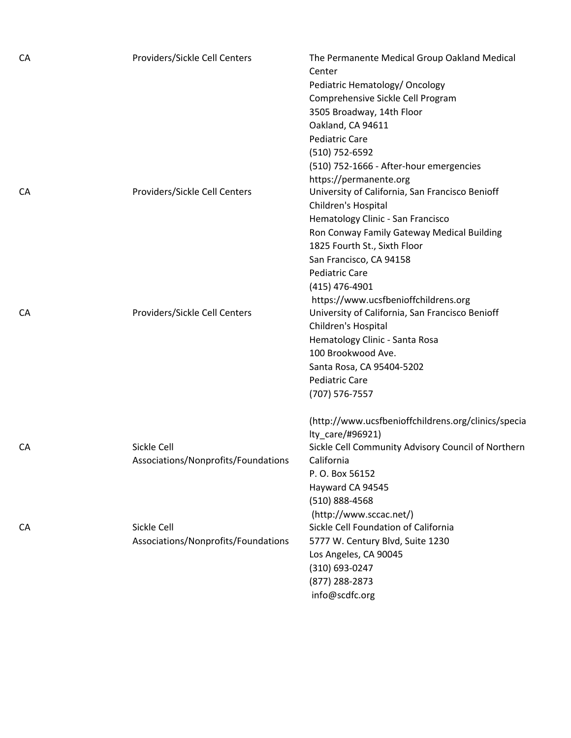| CA | Providers/Sickle Cell Centers                      | The Permanente Medical Group Oakland Medical<br>Center<br>Pediatric Hematology/ Oncology<br>Comprehensive Sickle Cell Program<br>3505 Broadway, 14th Floor<br>Oakland, CA 94611<br><b>Pediatric Care</b><br>(510) 752-6592<br>(510) 752-1666 - After-hour emergencies<br>https://permanente.org         |
|----|----------------------------------------------------|---------------------------------------------------------------------------------------------------------------------------------------------------------------------------------------------------------------------------------------------------------------------------------------------------------|
| CA | Providers/Sickle Cell Centers                      | University of California, San Francisco Benioff<br>Children's Hospital<br>Hematology Clinic - San Francisco<br>Ron Conway Family Gateway Medical Building<br>1825 Fourth St., Sixth Floor<br>San Francisco, CA 94158<br><b>Pediatric Care</b><br>(415) 476-4901<br>https://www.ucsfbenioffchildrens.org |
| CA | Providers/Sickle Cell Centers                      | University of California, San Francisco Benioff<br>Children's Hospital<br>Hematology Clinic - Santa Rosa<br>100 Brookwood Ave.<br>Santa Rosa, CA 95404-5202<br><b>Pediatric Care</b><br>(707) 576-7557<br>(http://www.ucsfbenioffchildrens.org/clinics/specia<br>lty_care/#96921)                       |
| CA | Sickle Cell<br>Associations/Nonprofits/Foundations | Sickle Cell Community Advisory Council of Northern<br>California<br>P.O. Box 56152<br>Hayward CA 94545<br>$(510)$ 888-4568<br>(http://www.sccac.net/)                                                                                                                                                   |
| CA | Sickle Cell<br>Associations/Nonprofits/Foundations | Sickle Cell Foundation of California<br>5777 W. Century Blvd, Suite 1230<br>Los Angeles, CA 90045<br>(310) 693-0247<br>(877) 288-2873<br>info@scdfc.org                                                                                                                                                 |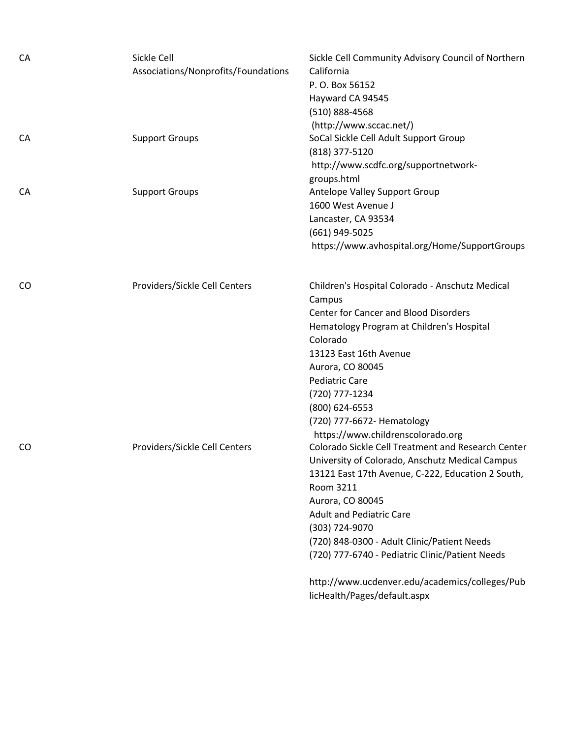| CA        | Sickle Cell<br>Associations/Nonprofits/Foundations | Sickle Cell Community Advisory Council of Northern<br>California<br>P. O. Box 56152<br>Hayward CA 94545<br>(510) 888-4568             |
|-----------|----------------------------------------------------|---------------------------------------------------------------------------------------------------------------------------------------|
| <b>CA</b> | <b>Support Groups</b>                              | (http://www.sccac.net/)<br>SoCal Sickle Cell Adult Support Group<br>(818) 377-5120<br>http://www.scdfc.org/supportnetwork-            |
| CA        | <b>Support Groups</b>                              | groups.html<br>Antelope Valley Support Group<br>1600 West Avenue J                                                                    |
|           |                                                    | Lancaster, CA 93534<br>(661) 949-5025<br>https://www.avhospital.org/Home/SupportGroups                                                |
| CO        | Providers/Sickle Cell Centers                      | Children's Hospital Colorado - Anschutz Medical<br>Campus                                                                             |
|           |                                                    | <b>Center for Cancer and Blood Disorders</b><br>Hematology Program at Children's Hospital<br>Colorado                                 |
|           |                                                    | 13123 East 16th Avenue<br>Aurora, CO 80045<br><b>Pediatric Care</b>                                                                   |
|           |                                                    | (720) 777-1234<br>(800) 624-6553                                                                                                      |
| CO.       | Providers/Sickle Cell Centers                      | (720) 777-6672- Hematology<br>https://www.childrenscolorado.org<br>Colorado Sickle Cell Treatment and Research Center                 |
|           |                                                    | University of Colorado, Anschutz Medical Campus<br>13121 East 17th Avenue, C-222, Education 2 South,<br>Room 3211<br>Aurora, CO 80045 |
|           |                                                    | <b>Adult and Pediatric Care</b><br>(303) 724-9070                                                                                     |
|           |                                                    | (720) 848-0300 - Adult Clinic/Patient Needs<br>(720) 777-6740 - Pediatric Clinic/Patient Needs                                        |
|           |                                                    | http://www.ucdenver.edu/academics/colleges/Pub<br>licHealth/Pages/default.aspx                                                        |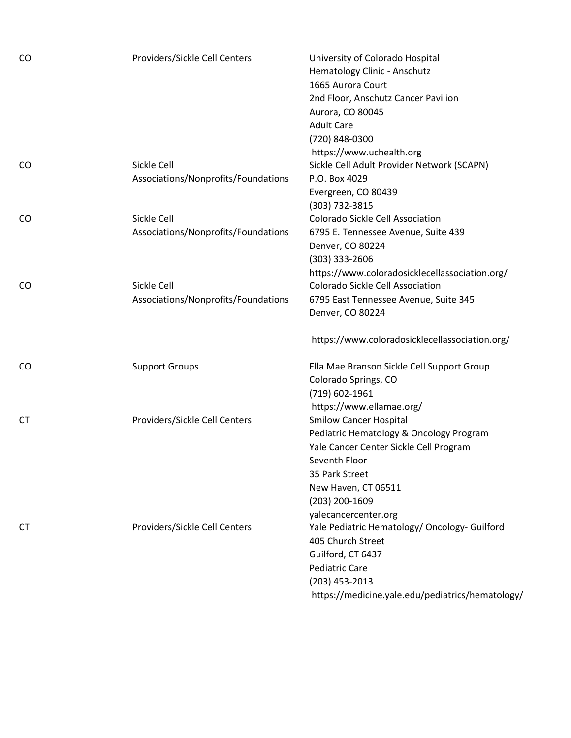| CO | Providers/Sickle Cell Centers       | University of Colorado Hospital<br>Hematology Clinic - Anschutz |
|----|-------------------------------------|-----------------------------------------------------------------|
|    |                                     | 1665 Aurora Court                                               |
|    |                                     | 2nd Floor, Anschutz Cancer Pavilion                             |
|    |                                     | Aurora, CO 80045                                                |
|    |                                     | <b>Adult Care</b>                                               |
|    |                                     | (720) 848-0300                                                  |
|    |                                     | https://www.uchealth.org                                        |
| CO | Sickle Cell                         | Sickle Cell Adult Provider Network (SCAPN)                      |
|    | Associations/Nonprofits/Foundations | P.O. Box 4029                                                   |
|    |                                     | Evergreen, CO 80439                                             |
|    |                                     | (303) 732-3815                                                  |
| CO | Sickle Cell                         | <b>Colorado Sickle Cell Association</b>                         |
|    | Associations/Nonprofits/Foundations | 6795 E. Tennessee Avenue, Suite 439                             |
|    |                                     | Denver, CO 80224                                                |
|    |                                     | (303) 333-2606                                                  |
|    |                                     | https://www.coloradosicklecellassociation.org/                  |
| CO | Sickle Cell                         | <b>Colorado Sickle Cell Association</b>                         |
|    | Associations/Nonprofits/Foundations | 6795 East Tennessee Avenue, Suite 345                           |
|    |                                     | Denver, CO 80224                                                |
|    |                                     | https://www.coloradosicklecellassociation.org/                  |
| CO | <b>Support Groups</b>               | Ella Mae Branson Sickle Cell Support Group                      |
|    |                                     | Colorado Springs, CO                                            |
|    |                                     | (719) 602-1961                                                  |
|    |                                     | https://www.ellamae.org/                                        |
| СT | Providers/Sickle Cell Centers       | <b>Smilow Cancer Hospital</b>                                   |
|    |                                     | Pediatric Hematology & Oncology Program                         |
|    |                                     | Yale Cancer Center Sickle Cell Program                          |
|    |                                     | Seventh Floor                                                   |
|    |                                     | 35 Park Street                                                  |
|    |                                     | New Haven, CT 06511                                             |
|    |                                     | (203) 200-1609                                                  |
|    |                                     | yalecancercenter.org                                            |
| СT | Providers/Sickle Cell Centers       | Yale Pediatric Hematology/ Oncology- Guilford                   |
|    |                                     | 405 Church Street                                               |
|    |                                     | Guilford, CT 6437                                               |
|    |                                     | <b>Pediatric Care</b>                                           |
|    |                                     | (203) 453-2013                                                  |
|    |                                     | https://medicine.yale.edu/pediatrics/hematology/                |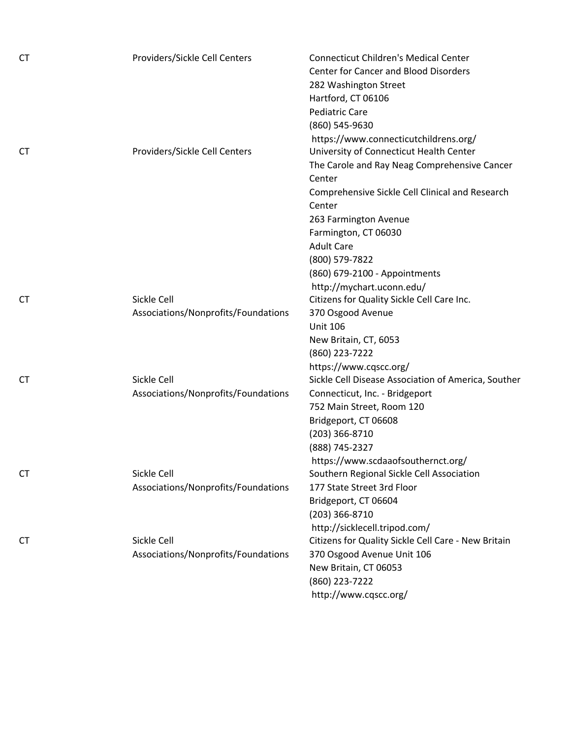| СT | Providers/Sickle Cell Centers       | <b>Connecticut Children's Medical Center</b>        |
|----|-------------------------------------|-----------------------------------------------------|
|    |                                     | <b>Center for Cancer and Blood Disorders</b>        |
|    |                                     | 282 Washington Street                               |
|    |                                     | Hartford, CT 06106                                  |
|    |                                     | <b>Pediatric Care</b>                               |
|    |                                     | (860) 545-9630                                      |
|    |                                     | https://www.connecticutchildrens.org/               |
| СT | Providers/Sickle Cell Centers       | University of Connecticut Health Center             |
|    |                                     | The Carole and Ray Neag Comprehensive Cancer        |
|    |                                     | Center                                              |
|    |                                     | Comprehensive Sickle Cell Clinical and Research     |
|    |                                     | Center                                              |
|    |                                     | 263 Farmington Avenue                               |
|    |                                     | Farmington, CT 06030                                |
|    |                                     | <b>Adult Care</b>                                   |
|    |                                     | (800) 579-7822                                      |
|    |                                     | (860) 679-2100 - Appointments                       |
|    |                                     | http://mychart.uconn.edu/                           |
| СT | Sickle Cell                         | Citizens for Quality Sickle Cell Care Inc.          |
|    | Associations/Nonprofits/Foundations | 370 Osgood Avenue                                   |
|    |                                     | <b>Unit 106</b>                                     |
|    |                                     | New Britain, CT, 6053                               |
|    |                                     | (860) 223-7222                                      |
|    |                                     | https://www.cqscc.org/                              |
| СT | Sickle Cell                         | Sickle Cell Disease Association of America, Souther |
|    | Associations/Nonprofits/Foundations | Connecticut, Inc. - Bridgeport                      |
|    |                                     | 752 Main Street, Room 120                           |
|    |                                     | Bridgeport, CT 06608                                |
|    |                                     | (203) 366-8710                                      |
|    |                                     | (888) 745-2327                                      |
|    |                                     | https://www.scdaaofsouthernct.org/                  |
| СT | Sickle Cell                         | Southern Regional Sickle Cell Association           |
|    | Associations/Nonprofits/Foundations | 177 State Street 3rd Floor                          |
|    |                                     | Bridgeport, CT 06604                                |
|    |                                     | (203) 366-8710                                      |
|    |                                     | http://sicklecell.tripod.com/                       |
| СT | Sickle Cell                         | Citizens for Quality Sickle Cell Care - New Britain |
|    | Associations/Nonprofits/Foundations | 370 Osgood Avenue Unit 106                          |
|    |                                     | New Britain, CT 06053                               |
|    |                                     | (860) 223-7222                                      |
|    |                                     | http://www.cqscc.org/                               |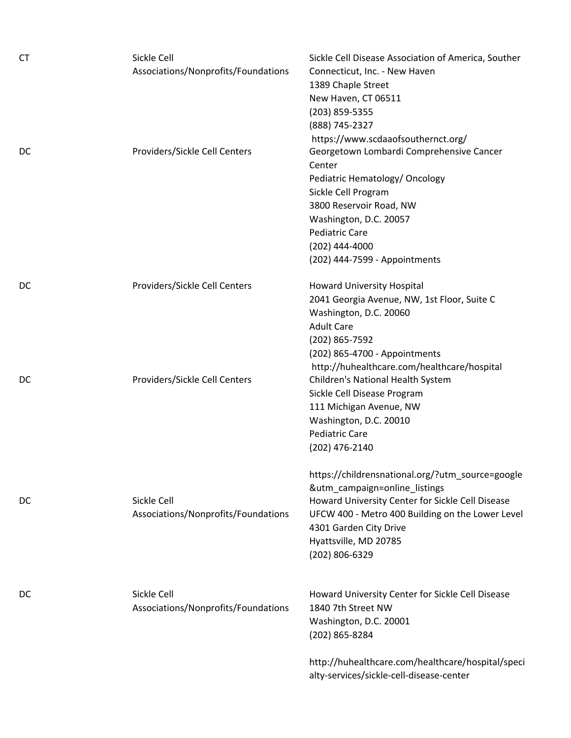| <b>CT</b> | Sickle Cell<br>Associations/Nonprofits/Foundations | Sickle Cell Disease Association of America, Souther<br>Connecticut, Inc. - New Haven<br>1389 Chaple Street<br>New Haven, CT 06511<br>(203) 859-5355<br>(888) 745-2327                                                                                                                |
|-----------|----------------------------------------------------|--------------------------------------------------------------------------------------------------------------------------------------------------------------------------------------------------------------------------------------------------------------------------------------|
| DC        | Providers/Sickle Cell Centers                      | https://www.scdaaofsouthernct.org/<br>Georgetown Lombardi Comprehensive Cancer<br>Center<br>Pediatric Hematology/ Oncology<br>Sickle Cell Program<br>3800 Reservoir Road, NW<br>Washington, D.C. 20057<br><b>Pediatric Care</b><br>$(202)$ 444-4000<br>(202) 444-7599 - Appointments |
| DC        | Providers/Sickle Cell Centers                      | <b>Howard University Hospital</b><br>2041 Georgia Avenue, NW, 1st Floor, Suite C<br>Washington, D.C. 20060<br><b>Adult Care</b><br>(202) 865-7592<br>(202) 865-4700 - Appointments                                                                                                   |
| DC        | Providers/Sickle Cell Centers                      | http://huhealthcare.com/healthcare/hospital<br>Children's National Health System<br>Sickle Cell Disease Program<br>111 Michigan Avenue, NW<br>Washington, D.C. 20010<br><b>Pediatric Care</b><br>(202) 476-2140                                                                      |
| DC        | Sickle Cell<br>Associations/Nonprofits/Foundations | https://childrensnational.org/?utm_source=google<br>&utm_campaign=online_listings<br>Howard University Center for Sickle Cell Disease<br>UFCW 400 - Metro 400 Building on the Lower Level<br>4301 Garden City Drive<br>Hyattsville, MD 20785<br>(202) 806-6329                       |
| DC        | Sickle Cell<br>Associations/Nonprofits/Foundations | Howard University Center for Sickle Cell Disease<br>1840 7th Street NW<br>Washington, D.C. 20001<br>(202) 865-8284                                                                                                                                                                   |
|           |                                                    | http://huhealthcare.com/healthcare/hospital/speci<br>alty-services/sickle-cell-disease-center                                                                                                                                                                                        |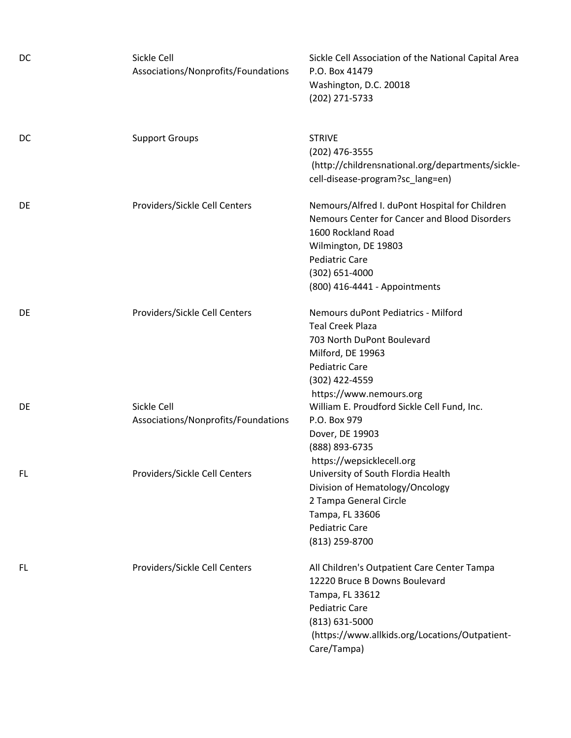| DC  | Sickle Cell<br>Associations/Nonprofits/Foundations | Sickle Cell Association of the National Capital Area<br>P.O. Box 41479<br>Washington, D.C. 20018<br>(202) 271-5733                                                                                                            |
|-----|----------------------------------------------------|-------------------------------------------------------------------------------------------------------------------------------------------------------------------------------------------------------------------------------|
| DC  | <b>Support Groups</b>                              | <b>STRIVE</b><br>(202) 476-3555<br>(http://childrensnational.org/departments/sickle-<br>cell-disease-program?sc_lang=en)                                                                                                      |
| DE  | Providers/Sickle Cell Centers                      | Nemours/Alfred I. duPont Hospital for Children<br>Nemours Center for Cancer and Blood Disorders<br>1600 Rockland Road<br>Wilmington, DE 19803<br><b>Pediatric Care</b><br>$(302) 651 - 4000$<br>(800) 416-4441 - Appointments |
| DE  | Providers/Sickle Cell Centers                      | Nemours duPont Pediatrics - Milford<br><b>Teal Creek Plaza</b><br>703 North DuPont Boulevard<br>Milford, DE 19963<br><b>Pediatric Care</b><br>(302) 422-4559<br>https://www.nemours.org                                       |
| DE  | Sickle Cell<br>Associations/Nonprofits/Foundations | William E. Proudford Sickle Cell Fund, Inc.<br>P.O. Box 979<br>Dover, DE 19903<br>(888) 893-6735<br>https://wepsicklecell.org                                                                                                 |
| FL  | Providers/Sickle Cell Centers                      | University of South Flordia Health<br>Division of Hematology/Oncology<br>2 Tampa General Circle<br>Tampa, FL 33606<br><b>Pediatric Care</b><br>(813) 259-8700                                                                 |
| FL. | Providers/Sickle Cell Centers                      | All Children's Outpatient Care Center Tampa<br>12220 Bruce B Downs Boulevard<br>Tampa, FL 33612<br><b>Pediatric Care</b><br>$(813) 631 - 5000$<br>(https://www.allkids.org/Locations/Outpatient-<br>Care/Tampa)               |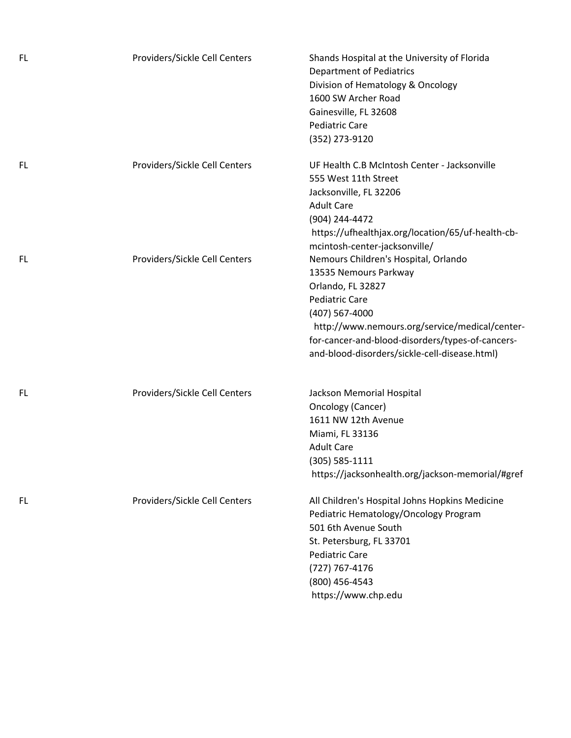| FL.       | Providers/Sickle Cell Centers | Shands Hospital at the University of Florida<br><b>Department of Pediatrics</b><br>Division of Hematology & Oncology<br>1600 SW Archer Road<br>Gainesville, FL 32608<br><b>Pediatric Care</b><br>(352) 273-9120                                                                      |
|-----------|-------------------------------|--------------------------------------------------------------------------------------------------------------------------------------------------------------------------------------------------------------------------------------------------------------------------------------|
| FL.       | Providers/Sickle Cell Centers | UF Health C.B McIntosh Center - Jacksonville<br>555 West 11th Street<br>Jacksonville, FL 32206<br><b>Adult Care</b><br>(904) 244-4472<br>https://ufhealthjax.org/location/65/uf-health-cb-<br>mcintosh-center-jacksonville/                                                          |
| FL.       | Providers/Sickle Cell Centers | Nemours Children's Hospital, Orlando<br>13535 Nemours Parkway<br>Orlando, FL 32827<br><b>Pediatric Care</b><br>(407) 567-4000<br>http://www.nemours.org/service/medical/center-<br>for-cancer-and-blood-disorders/types-of-cancers-<br>and-blood-disorders/sickle-cell-disease.html) |
| FL.       | Providers/Sickle Cell Centers | Jackson Memorial Hospital<br>Oncology (Cancer)<br>1611 NW 12th Avenue<br>Miami, FL 33136<br><b>Adult Care</b><br>$(305) 585 - 1111$<br>https://jacksonhealth.org/jackson-memorial/#gref                                                                                              |
| <b>FL</b> | Providers/Sickle Cell Centers | All Children's Hospital Johns Hopkins Medicine<br>Pediatric Hematology/Oncology Program<br>501 6th Avenue South<br>St. Petersburg, FL 33701<br><b>Pediatric Care</b><br>(727) 767-4176<br>(800) 456-4543<br>https://www.chp.edu                                                      |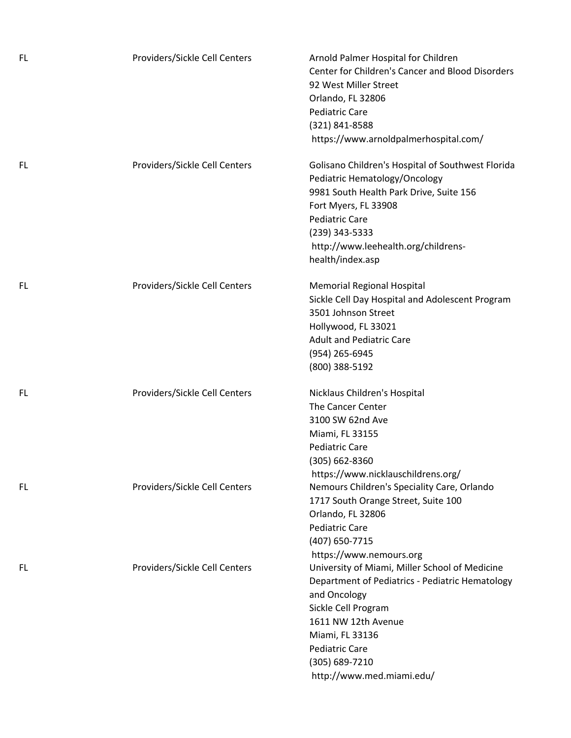| FL. | Providers/Sickle Cell Centers | Arnold Palmer Hospital for Children<br>Center for Children's Cancer and Blood Disorders<br>92 West Miller Street<br>Orlando, FL 32806<br><b>Pediatric Care</b><br>(321) 841-8588<br>https://www.arnoldpalmerhospital.com/                                   |
|-----|-------------------------------|-------------------------------------------------------------------------------------------------------------------------------------------------------------------------------------------------------------------------------------------------------------|
| FL. | Providers/Sickle Cell Centers | Golisano Children's Hospital of Southwest Florida<br>Pediatric Hematology/Oncology<br>9981 South Health Park Drive, Suite 156<br>Fort Myers, FL 33908<br><b>Pediatric Care</b><br>(239) 343-5333<br>http://www.leehealth.org/childrens-<br>health/index.asp |
| FL. | Providers/Sickle Cell Centers | <b>Memorial Regional Hospital</b><br>Sickle Cell Day Hospital and Adolescent Program<br>3501 Johnson Street<br>Hollywood, FL 33021<br><b>Adult and Pediatric Care</b><br>(954) 265-6945<br>(800) 388-5192                                                   |
| FL  | Providers/Sickle Cell Centers | Nicklaus Children's Hospital<br>The Cancer Center<br>3100 SW 62nd Ave<br>Miami, FL 33155<br><b>Pediatric Care</b><br>(305) 662-8360<br>https://www.nicklauschildrens.org/                                                                                   |
| FL. | Providers/Sickle Cell Centers | Nemours Children's Speciality Care, Orlando<br>1717 South Orange Street, Suite 100<br>Orlando, FL 32806<br><b>Pediatric Care</b><br>(407) 650-7715<br>https://www.nemours.org                                                                               |
| FL. | Providers/Sickle Cell Centers | University of Miami, Miller School of Medicine<br>Department of Pediatrics - Pediatric Hematology<br>and Oncology<br>Sickle Cell Program<br>1611 NW 12th Avenue<br>Miami, FL 33136<br><b>Pediatric Care</b><br>(305) 689-7210<br>http://www.med.miami.edu/  |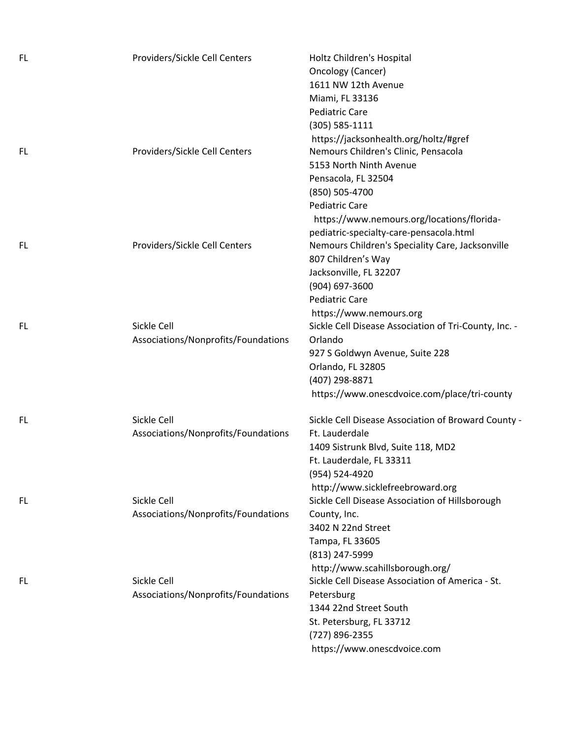| FL. | Providers/Sickle Cell Centers                      | Holtz Children's Hospital<br>Oncology (Cancer)<br>1611 NW 12th Avenue<br>Miami, FL 33136<br><b>Pediatric Care</b><br>(305) 585-1111                                                                                      |
|-----|----------------------------------------------------|--------------------------------------------------------------------------------------------------------------------------------------------------------------------------------------------------------------------------|
| FL. | Providers/Sickle Cell Centers                      | https://jacksonhealth.org/holtz/#gref<br>Nemours Children's Clinic, Pensacola<br>5153 North Ninth Avenue<br>Pensacola, FL 32504<br>(850) 505-4700<br><b>Pediatric Care</b><br>https://www.nemours.org/locations/florida- |
| FL. | Providers/Sickle Cell Centers                      | pediatric-specialty-care-pensacola.html<br>Nemours Children's Speciality Care, Jacksonville<br>807 Children's Way<br>Jacksonville, FL 32207<br>(904) 697-3600<br><b>Pediatric Care</b><br>https://www.nemours.org        |
| FL  | Sickle Cell<br>Associations/Nonprofits/Foundations | Sickle Cell Disease Association of Tri-County, Inc. -<br>Orlando<br>927 S Goldwyn Avenue, Suite 228<br>Orlando, FL 32805<br>(407) 298-8871<br>https://www.onescdvoice.com/place/tri-county                               |
| FL. | Sickle Cell<br>Associations/Nonprofits/Foundations | Sickle Cell Disease Association of Broward County -<br>Ft. Lauderdale<br>1409 Sistrunk Blvd, Suite 118, MD2<br>Ft. Lauderdale, FL 33311<br>(954) 524-4920<br>http://www.sicklefreebroward.org                            |
| FL  | Sickle Cell<br>Associations/Nonprofits/Foundations | Sickle Cell Disease Association of Hillsborough<br>County, Inc.<br>3402 N 22nd Street<br>Tampa, FL 33605<br>(813) 247-5999<br>http://www.scahillsborough.org/                                                            |
| FL. | Sickle Cell<br>Associations/Nonprofits/Foundations | Sickle Cell Disease Association of America - St.<br>Petersburg<br>1344 22nd Street South<br>St. Petersburg, FL 33712<br>(727) 896-2355<br>https://www.onescdvoice.com                                                    |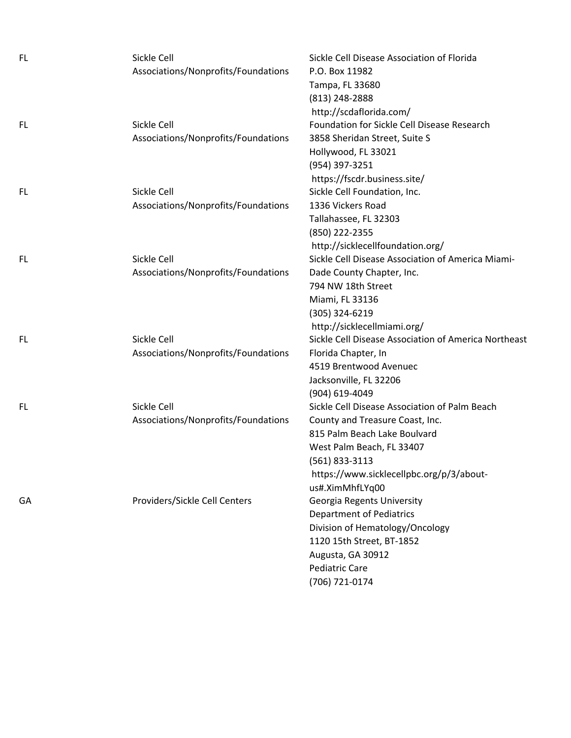| FL. | Sickle Cell                         | Sickle Cell Disease Association of Florida           |
|-----|-------------------------------------|------------------------------------------------------|
|     | Associations/Nonprofits/Foundations | P.O. Box 11982                                       |
|     |                                     | Tampa, FL 33680                                      |
|     |                                     | (813) 248-2888                                       |
|     |                                     | http://scdaflorida.com/                              |
| FL. | Sickle Cell                         | Foundation for Sickle Cell Disease Research          |
|     | Associations/Nonprofits/Foundations | 3858 Sheridan Street, Suite S                        |
|     |                                     | Hollywood, FL 33021                                  |
|     |                                     | (954) 397-3251                                       |
|     |                                     | https://fscdr.business.site/                         |
| FL. | Sickle Cell                         | Sickle Cell Foundation, Inc.                         |
|     | Associations/Nonprofits/Foundations | 1336 Vickers Road                                    |
|     |                                     | Tallahassee, FL 32303                                |
|     |                                     | (850) 222-2355                                       |
|     |                                     | http://sicklecellfoundation.org/                     |
| FL. | Sickle Cell                         | Sickle Cell Disease Association of America Miami-    |
|     | Associations/Nonprofits/Foundations | Dade County Chapter, Inc.                            |
|     |                                     | 794 NW 18th Street                                   |
|     |                                     | Miami, FL 33136                                      |
|     |                                     | (305) 324-6219                                       |
|     |                                     | http://sicklecellmiami.org/                          |
| FL. | Sickle Cell                         | Sickle Cell Disease Association of America Northeast |
|     | Associations/Nonprofits/Foundations | Florida Chapter, In                                  |
|     |                                     | 4519 Brentwood Avenuec                               |
|     |                                     | Jacksonville, FL 32206                               |
|     |                                     | (904) 619-4049                                       |
| FL. | Sickle Cell                         | Sickle Cell Disease Association of Palm Beach        |
|     | Associations/Nonprofits/Foundations | County and Treasure Coast, Inc.                      |
|     |                                     | 815 Palm Beach Lake Boulvard                         |
|     |                                     | West Palm Beach, FL 33407                            |
|     |                                     | $(561)$ 833-3113                                     |
|     |                                     | https://www.sicklecellpbc.org/p/3/about-             |
|     |                                     | us#.XimMhfLYq00                                      |
| GA  | Providers/Sickle Cell Centers       | Georgia Regents University                           |
|     |                                     | <b>Department of Pediatrics</b>                      |
|     |                                     | Division of Hematology/Oncology                      |
|     |                                     | 1120 15th Street, BT-1852                            |
|     |                                     | Augusta, GA 30912                                    |
|     |                                     | <b>Pediatric Care</b>                                |
|     |                                     | (706) 721-0174                                       |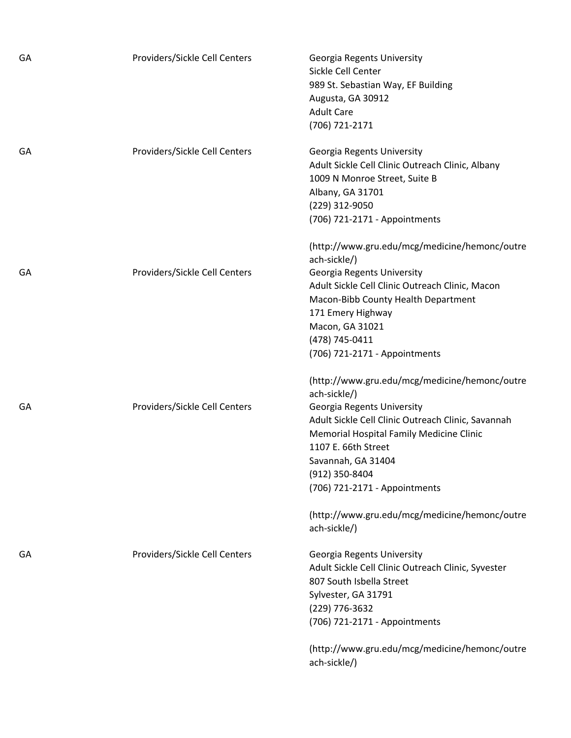| GА | Providers/Sickle Cell Centers | Georgia Regents University<br>Sickle Cell Center<br>989 St. Sebastian Way, EF Building<br>Augusta, GA 30912<br><b>Adult Care</b><br>(706) 721-2171                                                                                                                                                                       |
|----|-------------------------------|--------------------------------------------------------------------------------------------------------------------------------------------------------------------------------------------------------------------------------------------------------------------------------------------------------------------------|
| GА | Providers/Sickle Cell Centers | Georgia Regents University<br>Adult Sickle Cell Clinic Outreach Clinic, Albany<br>1009 N Monroe Street, Suite B<br>Albany, GA 31701<br>(229) 312-9050<br>(706) 721-2171 - Appointments                                                                                                                                   |
| GA | Providers/Sickle Cell Centers | (http://www.gru.edu/mcg/medicine/hemonc/outre<br>ach-sickle/)<br>Georgia Regents University<br>Adult Sickle Cell Clinic Outreach Clinic, Macon<br>Macon-Bibb County Health Department<br>171 Emery Highway<br>Macon, GA 31021<br>(478) 745-0411<br>(706) 721-2171 - Appointments                                         |
| GА | Providers/Sickle Cell Centers | (http://www.gru.edu/mcg/medicine/hemonc/outre<br>ach-sickle/)<br>Georgia Regents University<br>Adult Sickle Cell Clinic Outreach Clinic, Savannah<br>Memorial Hospital Family Medicine Clinic<br>1107 E. 66th Street<br>Savannah, GA 31404<br>(912) 350-8404<br>(706) 721-2171 - Appointments                            |
| GA | Providers/Sickle Cell Centers | (http://www.gru.edu/mcg/medicine/hemonc/outre<br>ach-sickle/)<br>Georgia Regents University<br>Adult Sickle Cell Clinic Outreach Clinic, Syvester<br>807 South Isbella Street<br>Sylvester, GA 31791<br>(229) 776-3632<br>(706) 721-2171 - Appointments<br>(http://www.gru.edu/mcg/medicine/hemonc/outre<br>ach-sickle/) |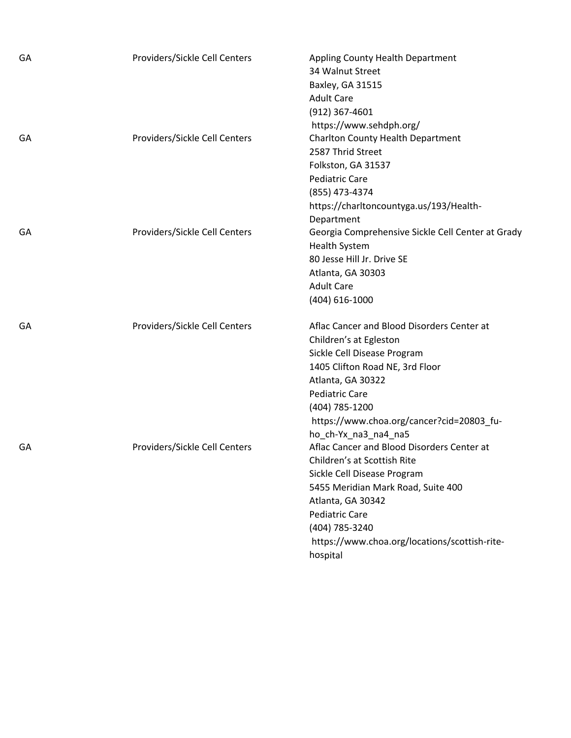| GA | Providers/Sickle Cell Centers | Appling County Health Department                  |
|----|-------------------------------|---------------------------------------------------|
|    |                               | 34 Walnut Street                                  |
|    |                               | Baxley, GA 31515                                  |
|    |                               | <b>Adult Care</b>                                 |
|    |                               | (912) 367-4601                                    |
|    |                               | https://www.sehdph.org/                           |
| GA | Providers/Sickle Cell Centers | Charlton County Health Department                 |
|    |                               | 2587 Thrid Street                                 |
|    |                               | Folkston, GA 31537                                |
|    |                               | <b>Pediatric Care</b>                             |
|    |                               | (855) 473-4374                                    |
|    |                               | https://charltoncountyga.us/193/Health-           |
|    |                               | Department                                        |
| GA | Providers/Sickle Cell Centers | Georgia Comprehensive Sickle Cell Center at Grady |
|    |                               | <b>Health System</b>                              |
|    |                               | 80 Jesse Hill Jr. Drive SE                        |
|    |                               | Atlanta, GA 30303                                 |
|    |                               | <b>Adult Care</b>                                 |
|    |                               | (404) 616-1000                                    |
| GA | Providers/Sickle Cell Centers | Aflac Cancer and Blood Disorders Center at        |
|    |                               | Children's at Egleston                            |
|    |                               | Sickle Cell Disease Program                       |
|    |                               | 1405 Clifton Road NE, 3rd Floor                   |
|    |                               | Atlanta, GA 30322                                 |
|    |                               | <b>Pediatric Care</b>                             |
|    |                               | (404) 785-1200                                    |
|    |                               | https://www.choa.org/cancer?cid=20803_fu-         |
|    |                               | ho_ch-Yx_na3_na4_na5                              |
| GA | Providers/Sickle Cell Centers | Aflac Cancer and Blood Disorders Center at        |
|    |                               | Children's at Scottish Rite                       |
|    |                               | Sickle Cell Disease Program                       |
|    |                               | 5455 Meridian Mark Road, Suite 400                |
|    |                               | Atlanta, GA 30342                                 |
|    |                               | <b>Pediatric Care</b>                             |
|    |                               | (404) 785-3240                                    |
|    |                               | https://www.choa.org/locations/scottish-rite-     |
|    |                               | hospital                                          |
|    |                               |                                                   |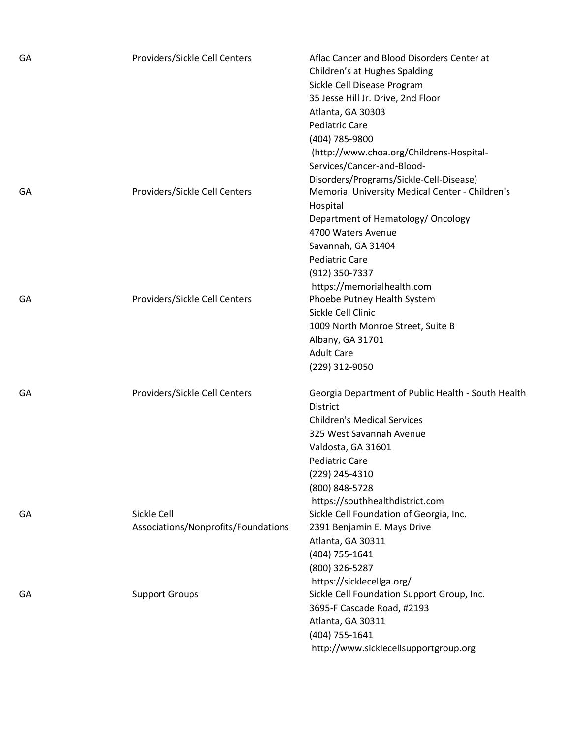| GA | Providers/Sickle Cell Centers       | Aflac Cancer and Blood Disorders Center at<br>Children's at Hughes Spalding<br>Sickle Cell Disease Program<br>35 Jesse Hill Jr. Drive, 2nd Floor<br>Atlanta, GA 30303 |
|----|-------------------------------------|-----------------------------------------------------------------------------------------------------------------------------------------------------------------------|
|    |                                     | <b>Pediatric Care</b><br>(404) 785-9800                                                                                                                               |
|    |                                     | (http://www.choa.org/Childrens-Hospital-<br>Services/Cancer-and-Blood-                                                                                                |
| GA | Providers/Sickle Cell Centers       | Disorders/Programs/Sickle-Cell-Disease)<br>Memorial University Medical Center - Children's                                                                            |
|    |                                     | Hospital<br>Department of Hematology/ Oncology<br>4700 Waters Avenue                                                                                                  |
|    |                                     | Savannah, GA 31404                                                                                                                                                    |
|    |                                     | <b>Pediatric Care</b>                                                                                                                                                 |
|    |                                     | (912) 350-7337                                                                                                                                                        |
|    |                                     | https://memorialhealth.com                                                                                                                                            |
| GA | Providers/Sickle Cell Centers       | Phoebe Putney Health System                                                                                                                                           |
|    |                                     | Sickle Cell Clinic                                                                                                                                                    |
|    |                                     | 1009 North Monroe Street, Suite B                                                                                                                                     |
|    |                                     | Albany, GA 31701                                                                                                                                                      |
|    |                                     | <b>Adult Care</b>                                                                                                                                                     |
|    |                                     | (229) 312-9050                                                                                                                                                        |
| GA | Providers/Sickle Cell Centers       | Georgia Department of Public Health - South Health<br><b>District</b>                                                                                                 |
|    |                                     | <b>Children's Medical Services</b>                                                                                                                                    |
|    |                                     | 325 West Savannah Avenue                                                                                                                                              |
|    |                                     | Valdosta, GA 31601                                                                                                                                                    |
|    |                                     | <b>Pediatric Care</b>                                                                                                                                                 |
|    |                                     | (229) 245-4310                                                                                                                                                        |
|    |                                     | (800) 848-5728                                                                                                                                                        |
|    |                                     | https://southhealthdistrict.com                                                                                                                                       |
| GA | Sickle Cell                         | Sickle Cell Foundation of Georgia, Inc.                                                                                                                               |
|    | Associations/Nonprofits/Foundations | 2391 Benjamin E. Mays Drive                                                                                                                                           |
|    |                                     | Atlanta, GA 30311                                                                                                                                                     |
|    |                                     | (404) 755-1641                                                                                                                                                        |
|    |                                     | (800) 326-5287                                                                                                                                                        |
|    |                                     | https://sicklecellga.org/                                                                                                                                             |
| GA | <b>Support Groups</b>               | Sickle Cell Foundation Support Group, Inc.                                                                                                                            |
|    |                                     | 3695-F Cascade Road, #2193                                                                                                                                            |
|    |                                     | Atlanta, GA 30311                                                                                                                                                     |
|    |                                     | (404) 755-1641                                                                                                                                                        |
|    |                                     | http://www.sicklecellsupportgroup.org                                                                                                                                 |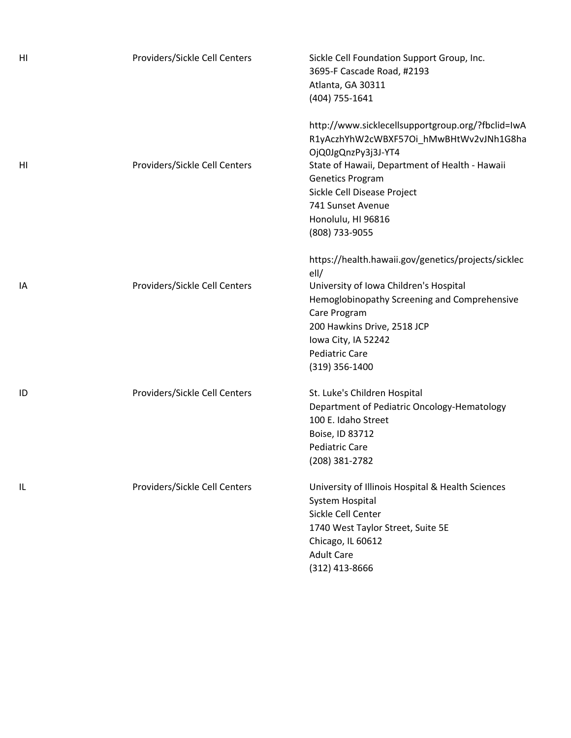| HI | Providers/Sickle Cell Centers | Sickle Cell Foundation Support Group, Inc.<br>3695-F Cascade Road, #2193<br>Atlanta, GA 30311<br>(404) 755-1641                                                                                                                                                                       |
|----|-------------------------------|---------------------------------------------------------------------------------------------------------------------------------------------------------------------------------------------------------------------------------------------------------------------------------------|
| HI | Providers/Sickle Cell Centers | http://www.sicklecellsupportgroup.org/?fbclid=IwA<br>R1yAczhYhW2cWBXF57Oi_hMwBHtWv2vJNh1G8ha<br>OjQ0JgQnzPy3j3J-YT4<br>State of Hawaii, Department of Health - Hawaii<br>Genetics Program<br>Sickle Cell Disease Project<br>741 Sunset Avenue<br>Honolulu, HI 96816<br>(808) 733-9055 |
| IA | Providers/Sickle Cell Centers | https://health.hawaii.gov/genetics/projects/sicklec<br>ell/<br>University of Iowa Children's Hospital<br>Hemoglobinopathy Screening and Comprehensive<br>Care Program<br>200 Hawkins Drive, 2518 JCP<br>Iowa City, IA 52242<br><b>Pediatric Care</b><br>$(319)$ 356-1400              |
| ID | Providers/Sickle Cell Centers | St. Luke's Children Hospital<br>Department of Pediatric Oncology-Hematology<br>100 E. Idaho Street<br>Boise, ID 83712<br><b>Pediatric Care</b><br>(208) 381-2782                                                                                                                      |
| IL | Providers/Sickle Cell Centers | University of Illinois Hospital & Health Sciences<br>System Hospital<br>Sickle Cell Center<br>1740 West Taylor Street, Suite 5E<br>Chicago, IL 60612<br><b>Adult Care</b><br>(312) 413-8666                                                                                           |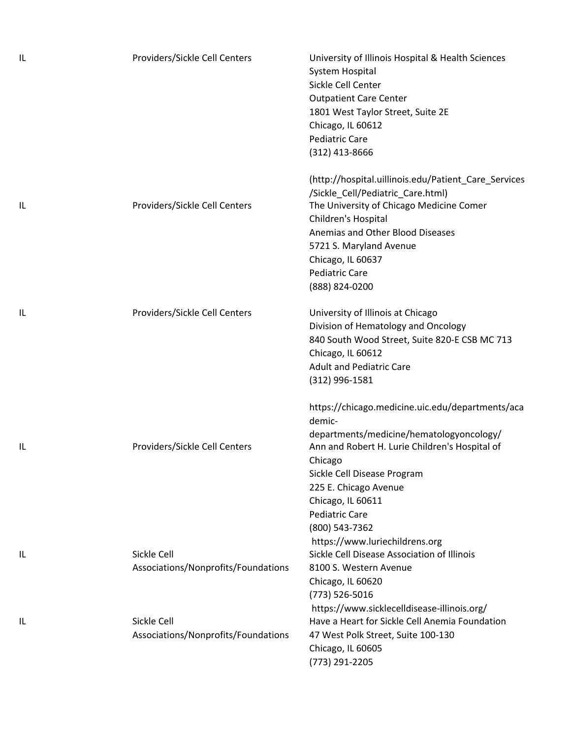| IL | Providers/Sickle Cell Centers                      | University of Illinois Hospital & Health Sciences<br>System Hospital<br>Sickle Cell Center<br><b>Outpatient Care Center</b><br>1801 West Taylor Street, Suite 2E<br>Chicago, IL 60612<br><b>Pediatric Care</b><br>(312) 413-8666                                                            |
|----|----------------------------------------------------|---------------------------------------------------------------------------------------------------------------------------------------------------------------------------------------------------------------------------------------------------------------------------------------------|
| L  | Providers/Sickle Cell Centers                      | (http://hospital.uillinois.edu/Patient_Care_Services<br>/Sickle_Cell/Pediatric_Care.html)<br>The University of Chicago Medicine Comer<br>Children's Hospital<br>Anemias and Other Blood Diseases<br>5721 S. Maryland Avenue<br>Chicago, IL 60637<br><b>Pediatric Care</b><br>(888) 824-0200 |
| IL | Providers/Sickle Cell Centers                      | University of Illinois at Chicago<br>Division of Hematology and Oncology<br>840 South Wood Street, Suite 820-E CSB MC 713<br>Chicago, IL 60612<br><b>Adult and Pediatric Care</b><br>$(312)$ 996-1581                                                                                       |
| IL | Providers/Sickle Cell Centers                      | https://chicago.medicine.uic.edu/departments/aca<br>demic-<br>departments/medicine/hematologyoncology/<br>Ann and Robert H. Lurie Children's Hospital of<br>Chicago<br>Sickle Cell Disease Program<br>225 E. Chicago Avenue<br>Chicago, IL 60611<br><b>Pediatric Care</b><br>(800) 543-7362 |
| IL | Sickle Cell<br>Associations/Nonprofits/Foundations | https://www.luriechildrens.org<br>Sickle Cell Disease Association of Illinois<br>8100 S. Western Avenue<br>Chicago, IL 60620<br>(773) 526-5016                                                                                                                                              |
| IL | Sickle Cell<br>Associations/Nonprofits/Foundations | https://www.sicklecelldisease-illinois.org/<br>Have a Heart for Sickle Cell Anemia Foundation<br>47 West Polk Street, Suite 100-130<br>Chicago, IL 60605<br>(773) 291-2205                                                                                                                  |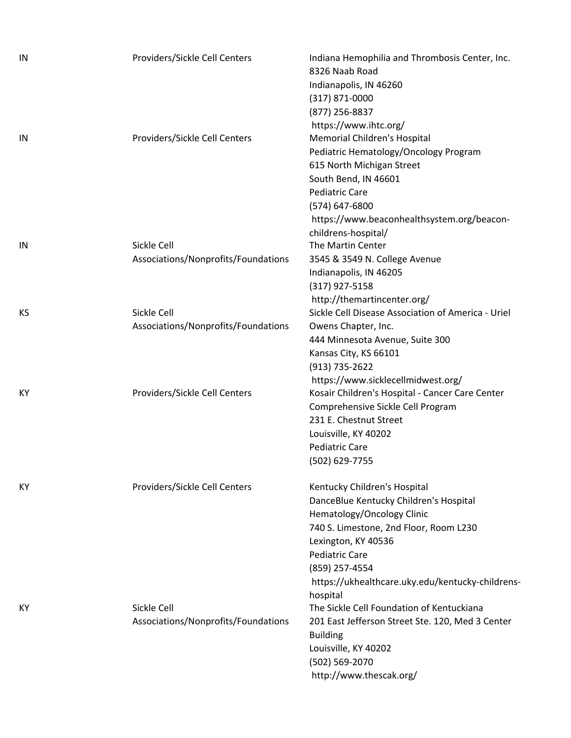| IN  | Providers/Sickle Cell Centers                      | Indiana Hemophilia and Thrombosis Center, Inc.<br>8326 Naab Road<br>Indianapolis, IN 46260<br>$(317)$ 871-0000<br>(877) 256-8837<br>https://www.ihtc.org/                                                                                                            |
|-----|----------------------------------------------------|----------------------------------------------------------------------------------------------------------------------------------------------------------------------------------------------------------------------------------------------------------------------|
| IN  | Providers/Sickle Cell Centers                      | Memorial Children's Hospital<br>Pediatric Hematology/Oncology Program<br>615 North Michigan Street<br>South Bend, IN 46601<br><b>Pediatric Care</b><br>(574) 647-6800<br>https://www.beaconhealthsystem.org/beacon-                                                  |
| IN  | Sickle Cell<br>Associations/Nonprofits/Foundations | childrens-hospital/<br>The Martin Center<br>3545 & 3549 N. College Avenue<br>Indianapolis, IN 46205<br>(317) 927-5158                                                                                                                                                |
| KS  | Sickle Cell<br>Associations/Nonprofits/Foundations | http://themartincenter.org/<br>Sickle Cell Disease Association of America - Uriel<br>Owens Chapter, Inc.<br>444 Minnesota Avenue, Suite 300<br>Kansas City, KS 66101                                                                                                 |
| КY  | Providers/Sickle Cell Centers                      | (913) 735-2622<br>https://www.sicklecellmidwest.org/<br>Kosair Children's Hospital - Cancer Care Center<br>Comprehensive Sickle Cell Program<br>231 E. Chestnut Street<br>Louisville, KY 40202<br><b>Pediatric Care</b><br>(502) 629-7755                            |
| KY. | Providers/Sickle Cell Centers                      | Kentucky Children's Hospital<br>DanceBlue Kentucky Children's Hospital<br>Hematology/Oncology Clinic<br>740 S. Limestone, 2nd Floor, Room L230<br>Lexington, KY 40536<br><b>Pediatric Care</b><br>(859) 257-4554<br>https://ukhealthcare.uky.edu/kentucky-childrens- |
| KY. | Sickle Cell<br>Associations/Nonprofits/Foundations | hospital<br>The Sickle Cell Foundation of Kentuckiana<br>201 East Jefferson Street Ste. 120, Med 3 Center<br><b>Building</b><br>Louisville, KY 40202<br>(502) 569-2070<br>http://www.thescak.org/                                                                    |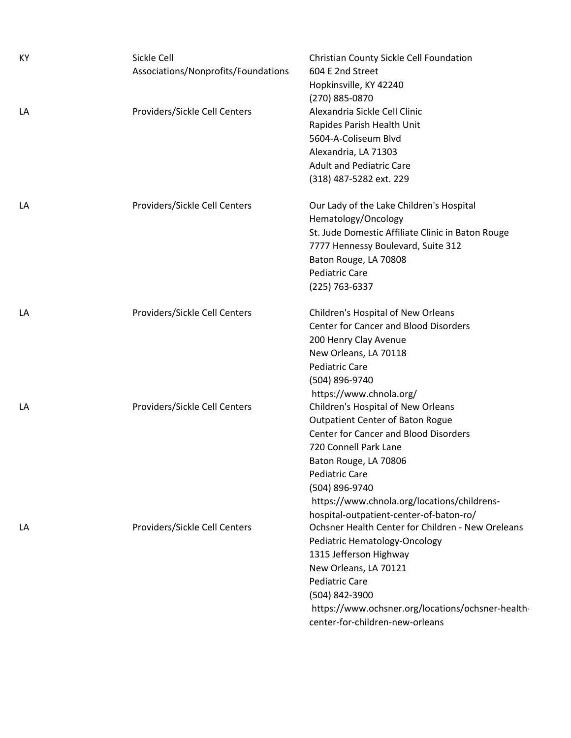| KY | Sickle Cell<br>Associations/Nonprofits/Foundations | Christian County Sickle Cell Foundation<br>604 E 2nd Street |
|----|----------------------------------------------------|-------------------------------------------------------------|
|    |                                                    | Hopkinsville, KY 42240                                      |
|    |                                                    | (270) 885-0870                                              |
| LA | Providers/Sickle Cell Centers                      | Alexandria Sickle Cell Clinic                               |
|    |                                                    | Rapides Parish Health Unit                                  |
|    |                                                    | 5604-A-Coliseum Blvd                                        |
|    |                                                    | Alexandria, LA 71303                                        |
|    |                                                    | <b>Adult and Pediatric Care</b>                             |
|    |                                                    | (318) 487-5282 ext. 229                                     |
| LA | Providers/Sickle Cell Centers                      | Our Lady of the Lake Children's Hospital                    |
|    |                                                    | Hematology/Oncology                                         |
|    |                                                    | St. Jude Domestic Affiliate Clinic in Baton Rouge           |
|    |                                                    | 7777 Hennessy Boulevard, Suite 312                          |
|    |                                                    | Baton Rouge, LA 70808                                       |
|    |                                                    | <b>Pediatric Care</b>                                       |
|    |                                                    | (225) 763-6337                                              |
| LA | Providers/Sickle Cell Centers                      | Children's Hospital of New Orleans                          |
|    |                                                    | <b>Center for Cancer and Blood Disorders</b>                |
|    |                                                    | 200 Henry Clay Avenue                                       |
|    |                                                    | New Orleans, LA 70118                                       |
|    |                                                    | <b>Pediatric Care</b>                                       |
|    |                                                    | (504) 896-9740                                              |
|    |                                                    | https://www.chnola.org/                                     |
| LA | Providers/Sickle Cell Centers                      | Children's Hospital of New Orleans                          |
|    |                                                    | <b>Outpatient Center of Baton Rogue</b>                     |
|    |                                                    | <b>Center for Cancer and Blood Disorders</b>                |
|    |                                                    | 720 Connell Park Lane                                       |
|    |                                                    | Baton Rouge, LA 70806                                       |
|    |                                                    | <b>Pediatric Care</b>                                       |
|    |                                                    | (504) 896-9740                                              |
|    |                                                    | https://www.chnola.org/locations/childrens-                 |
|    |                                                    | hospital-outpatient-center-of-baton-ro/                     |
| LA | Providers/Sickle Cell Centers                      | Ochsner Health Center for Children - New Oreleans           |
|    |                                                    | Pediatric Hematology-Oncology                               |
|    |                                                    | 1315 Jefferson Highway                                      |
|    |                                                    | New Orleans, LA 70121                                       |
|    |                                                    | <b>Pediatric Care</b>                                       |
|    |                                                    | (504) 842-3900                                              |
|    |                                                    | https://www.ochsner.org/locations/ochsner-health-           |
|    |                                                    | center-for-children-new-orleans                             |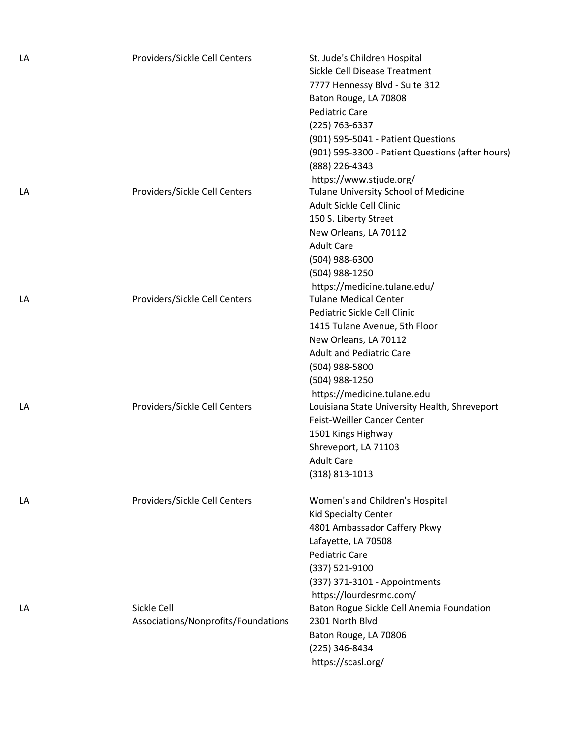| LA | Providers/Sickle Cell Centers       | St. Jude's Children Hospital                                 |
|----|-------------------------------------|--------------------------------------------------------------|
|    |                                     | Sickle Cell Disease Treatment                                |
|    |                                     | 7777 Hennessy Blvd - Suite 312                               |
|    |                                     | Baton Rouge, LA 70808                                        |
|    |                                     | <b>Pediatric Care</b>                                        |
|    |                                     | (225) 763-6337                                               |
|    |                                     | (901) 595-5041 - Patient Questions                           |
|    |                                     | (901) 595-3300 - Patient Questions (after hours)             |
|    |                                     | (888) 226-4343                                               |
|    |                                     | https://www.stjude.org/                                      |
| LA | Providers/Sickle Cell Centers       | Tulane University School of Medicine                         |
|    |                                     | Adult Sickle Cell Clinic                                     |
|    |                                     | 150 S. Liberty Street                                        |
|    |                                     | New Orleans, LA 70112                                        |
|    |                                     | <b>Adult Care</b>                                            |
|    |                                     |                                                              |
|    |                                     | (504) 988-6300                                               |
|    |                                     | (504) 988-1250                                               |
|    |                                     | https://medicine.tulane.edu/<br><b>Tulane Medical Center</b> |
| LA | Providers/Sickle Cell Centers       |                                                              |
|    |                                     | Pediatric Sickle Cell Clinic                                 |
|    |                                     | 1415 Tulane Avenue, 5th Floor                                |
|    |                                     | New Orleans, LA 70112                                        |
|    |                                     | <b>Adult and Pediatric Care</b>                              |
|    |                                     | (504) 988-5800                                               |
|    |                                     | (504) 988-1250                                               |
|    |                                     | https://medicine.tulane.edu                                  |
| LA | Providers/Sickle Cell Centers       | Louisiana State University Health, Shreveport                |
|    |                                     | Feist-Weiller Cancer Center                                  |
|    |                                     | 1501 Kings Highway                                           |
|    |                                     | Shreveport, LA 71103                                         |
|    |                                     | <b>Adult Care</b>                                            |
|    |                                     | $(318)$ 813-1013                                             |
| LA | Providers/Sickle Cell Centers       | Women's and Children's Hospital                              |
|    |                                     | <b>Kid Specialty Center</b>                                  |
|    |                                     | 4801 Ambassador Caffery Pkwy                                 |
|    |                                     | Lafayette, LA 70508                                          |
|    |                                     | <b>Pediatric Care</b>                                        |
|    |                                     | (337) 521-9100                                               |
|    |                                     | (337) 371-3101 - Appointments                                |
|    |                                     | https://lourdesrmc.com/                                      |
| LA | Sickle Cell                         | Baton Rogue Sickle Cell Anemia Foundation                    |
|    | Associations/Nonprofits/Foundations | 2301 North Blvd                                              |
|    |                                     | Baton Rouge, LA 70806                                        |
|    |                                     | (225) 346-8434                                               |
|    |                                     | https://scasl.org/                                           |
|    |                                     |                                                              |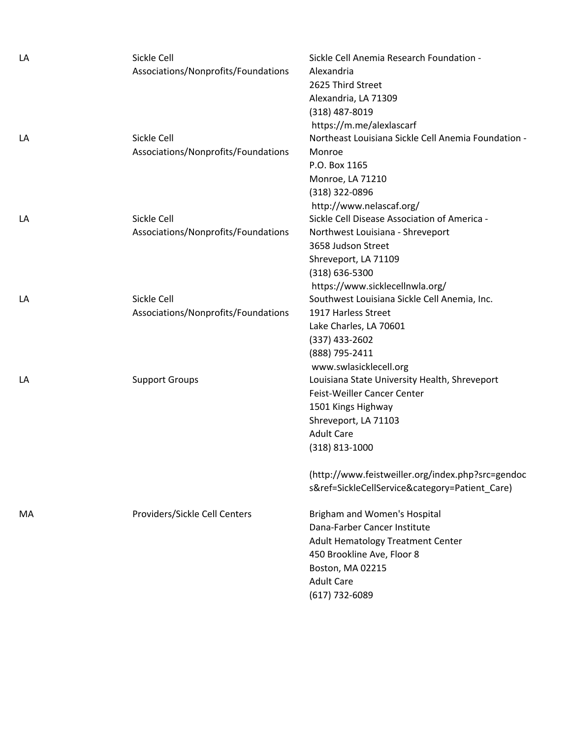| LA | Sickle Cell                         | Sickle Cell Anemia Research Foundation -            |
|----|-------------------------------------|-----------------------------------------------------|
|    | Associations/Nonprofits/Foundations | Alexandria                                          |
|    |                                     | 2625 Third Street                                   |
|    |                                     | Alexandria, LA 71309                                |
|    |                                     | (318) 487-8019                                      |
|    |                                     | https://m.me/alexlascarf                            |
| LA | Sickle Cell                         | Northeast Louisiana Sickle Cell Anemia Foundation - |
|    | Associations/Nonprofits/Foundations | Monroe                                              |
|    |                                     | P.O. Box 1165                                       |
|    |                                     | Monroe, LA 71210                                    |
|    |                                     | (318) 322-0896                                      |
|    |                                     | http://www.nelascaf.org/                            |
| LA | Sickle Cell                         | Sickle Cell Disease Association of America -        |
|    | Associations/Nonprofits/Foundations | Northwest Louisiana - Shreveport                    |
|    |                                     | 3658 Judson Street                                  |
|    |                                     | Shreveport, LA 71109                                |
|    |                                     | $(318) 636 - 5300$                                  |
|    |                                     | https://www.sicklecellnwla.org/                     |
| LA | Sickle Cell                         | Southwest Louisiana Sickle Cell Anemia, Inc.        |
|    | Associations/Nonprofits/Foundations | 1917 Harless Street                                 |
|    |                                     | Lake Charles, LA 70601                              |
|    |                                     | $(337)$ 433-2602                                    |
|    |                                     | (888) 795-2411                                      |
|    |                                     | www.swlasicklecell.org                              |
| LA | <b>Support Groups</b>               | Louisiana State University Health, Shreveport       |
|    |                                     | Feist-Weiller Cancer Center                         |
|    |                                     | 1501 Kings Highway                                  |
|    |                                     | Shreveport, LA 71103                                |
|    |                                     | <b>Adult Care</b>                                   |
|    |                                     | $(318)$ 813-1000                                    |
|    |                                     |                                                     |
|    |                                     | (http://www.feistweiller.org/index.php?src=gendoc   |
|    |                                     | s&ref=SickleCellService&category=Patient_Care)      |
| MA | Providers/Sickle Cell Centers       | Brigham and Women's Hospital                        |
|    |                                     | Dana-Farber Cancer Institute                        |
|    |                                     | <b>Adult Hematology Treatment Center</b>            |
|    |                                     | 450 Brookline Ave, Floor 8                          |
|    |                                     | Boston, MA 02215                                    |
|    |                                     | <b>Adult Care</b>                                   |
|    |                                     | (617) 732-6089                                      |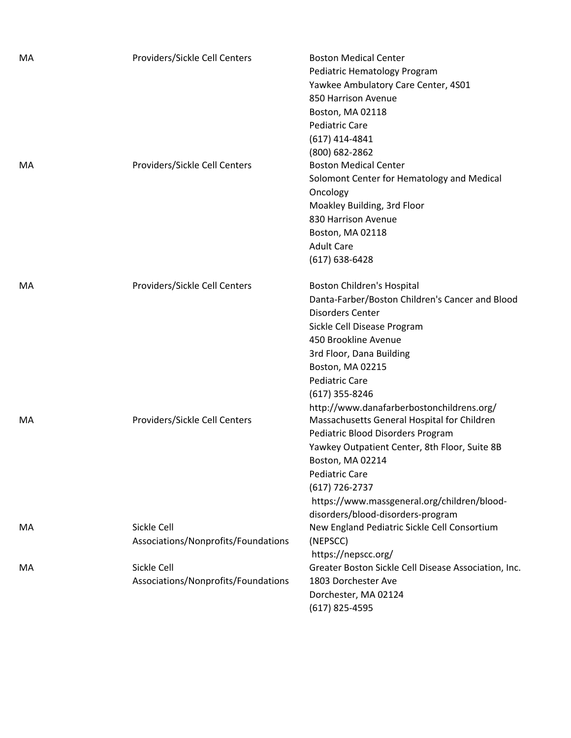| МA | Providers/Sickle Cell Centers                      | <b>Boston Medical Center</b><br>Pediatric Hematology Program<br>Yawkee Ambulatory Care Center, 4S01<br>850 Harrison Avenue<br>Boston, MA 02118<br>Pediatric Care<br>$(617)$ 414-4841<br>(800) 682-2862                                                                                                                                |
|----|----------------------------------------------------|---------------------------------------------------------------------------------------------------------------------------------------------------------------------------------------------------------------------------------------------------------------------------------------------------------------------------------------|
| MA | Providers/Sickle Cell Centers                      | <b>Boston Medical Center</b><br>Solomont Center for Hematology and Medical<br>Oncology<br>Moakley Building, 3rd Floor<br>830 Harrison Avenue<br>Boston, MA 02118<br><b>Adult Care</b><br>$(617) 638 - 6428$                                                                                                                           |
| MA | Providers/Sickle Cell Centers                      | Boston Children's Hospital<br>Danta-Farber/Boston Children's Cancer and Blood<br><b>Disorders Center</b><br>Sickle Cell Disease Program<br>450 Brookline Avenue<br>3rd Floor, Dana Building<br>Boston, MA 02215<br><b>Pediatric Care</b><br>$(617)$ 355-8246                                                                          |
| MA | Providers/Sickle Cell Centers                      | http://www.danafarberbostonchildrens.org/<br>Massachusetts General Hospital for Children<br>Pediatric Blood Disorders Program<br>Yawkey Outpatient Center, 8th Floor, Suite 8B<br>Boston, MA 02214<br><b>Pediatric Care</b><br>$(617) 726 - 2737$<br>https://www.massgeneral.org/children/blood-<br>disorders/blood-disorders-program |
| МA | Sickle Cell<br>Associations/Nonprofits/Foundations | New England Pediatric Sickle Cell Consortium<br>(NEPSCC)<br>https://nepscc.org/                                                                                                                                                                                                                                                       |
| MA | Sickle Cell<br>Associations/Nonprofits/Foundations | Greater Boston Sickle Cell Disease Association, Inc.<br>1803 Dorchester Ave<br>Dorchester, MA 02124<br>(617) 825-4595                                                                                                                                                                                                                 |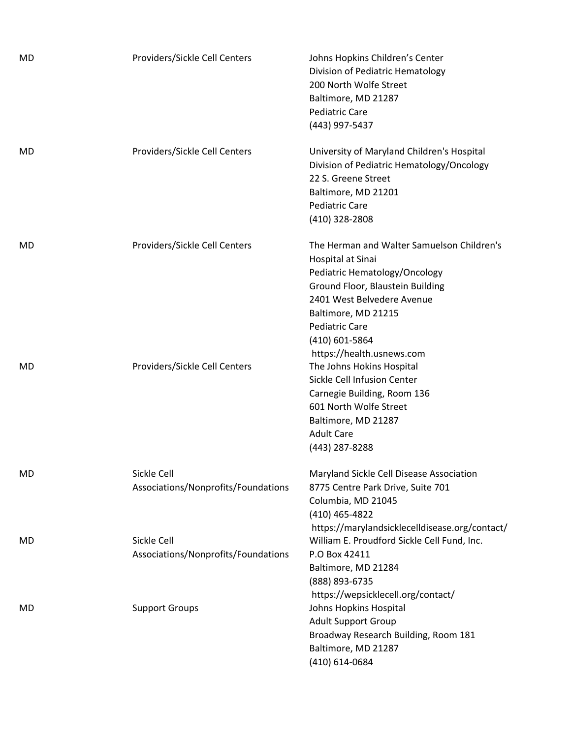| MD | Providers/Sickle Cell Centers                      | Johns Hopkins Children's Center<br>Division of Pediatric Hematology<br>200 North Wolfe Street<br>Baltimore, MD 21287<br><b>Pediatric Care</b><br>(443) 997-5437                                                                                                   |
|----|----------------------------------------------------|-------------------------------------------------------------------------------------------------------------------------------------------------------------------------------------------------------------------------------------------------------------------|
| MD | Providers/Sickle Cell Centers                      | University of Maryland Children's Hospital<br>Division of Pediatric Hematology/Oncology<br>22 S. Greene Street<br>Baltimore, MD 21201<br><b>Pediatric Care</b><br>(410) 328-2808                                                                                  |
| MD | Providers/Sickle Cell Centers                      | The Herman and Walter Samuelson Children's<br>Hospital at Sinai<br>Pediatric Hematology/Oncology<br>Ground Floor, Blaustein Building<br>2401 West Belvedere Avenue<br>Baltimore, MD 21215<br><b>Pediatric Care</b><br>(410) 601-5864<br>https://health.usnews.com |
| MD | Providers/Sickle Cell Centers                      | The Johns Hokins Hospital<br>Sickle Cell Infusion Center<br>Carnegie Building, Room 136<br>601 North Wolfe Street<br>Baltimore, MD 21287<br><b>Adult Care</b><br>(443) 287-8288                                                                                   |
| MD | Sickle Cell<br>Associations/Nonprofits/Foundations | Maryland Sickle Cell Disease Association<br>8775 Centre Park Drive, Suite 701<br>Columbia, MD 21045<br>(410) 465-4822                                                                                                                                             |
| MD | Sickle Cell<br>Associations/Nonprofits/Foundations | https://marylandsicklecelldisease.org/contact/<br>William E. Proudford Sickle Cell Fund, Inc.<br>P.O Box 42411<br>Baltimore, MD 21284<br>(888) 893-6735<br>https://wepsicklecell.org/contact/                                                                     |
| MD | <b>Support Groups</b>                              | Johns Hopkins Hospital<br><b>Adult Support Group</b><br>Broadway Research Building, Room 181<br>Baltimore, MD 21287<br>(410) 614-0684                                                                                                                             |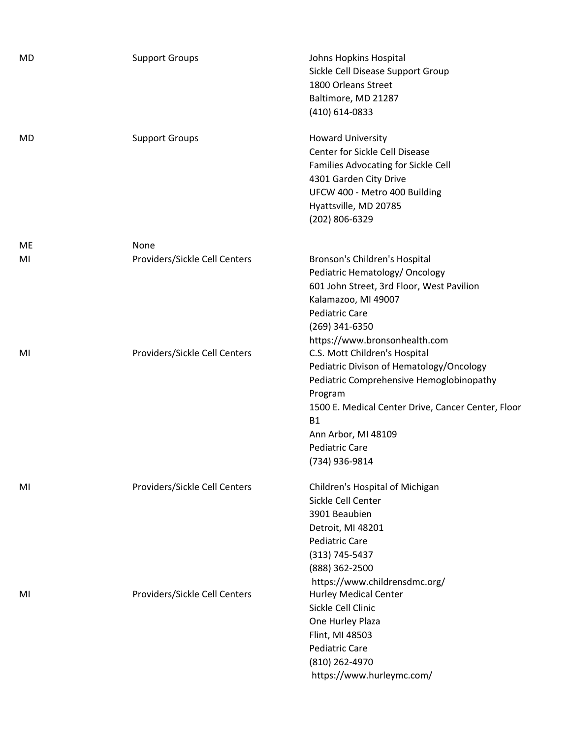| <b>MD</b> | <b>Support Groups</b>         | Johns Hopkins Hospital<br>Sickle Cell Disease Support Group<br>1800 Orleans Street<br>Baltimore, MD 21287<br>(410) 614-0833                                                                                                                                           |
|-----------|-------------------------------|-----------------------------------------------------------------------------------------------------------------------------------------------------------------------------------------------------------------------------------------------------------------------|
| MD        | <b>Support Groups</b>         | <b>Howard University</b><br>Center for Sickle Cell Disease<br>Families Advocating for Sickle Cell<br>4301 Garden City Drive<br>UFCW 400 - Metro 400 Building<br>Hyattsville, MD 20785<br>(202) 806-6329                                                               |
| ME        | None                          |                                                                                                                                                                                                                                                                       |
| MI        | Providers/Sickle Cell Centers | Bronson's Children's Hospital<br>Pediatric Hematology/ Oncology<br>601 John Street, 3rd Floor, West Pavilion<br>Kalamazoo, MI 49007<br><b>Pediatric Care</b><br>(269) 341-6350<br>https://www.bronsonhealth.com                                                       |
| MI        | Providers/Sickle Cell Centers | C.S. Mott Children's Hospital<br>Pediatric Divison of Hematology/Oncology<br>Pediatric Comprehensive Hemoglobinopathy<br>Program<br>1500 E. Medical Center Drive, Cancer Center, Floor<br><b>B1</b><br>Ann Arbor, MI 48109<br><b>Pediatric Care</b><br>(734) 936-9814 |
| MI        | Providers/Sickle Cell Centers | Children's Hospital of Michigan<br>Sickle Cell Center<br>3901 Beaubien<br>Detroit, MI 48201<br><b>Pediatric Care</b><br>$(313) 745 - 5437$<br>(888) 362-2500<br>https://www.childrensdmc.org/                                                                         |
| MI        | Providers/Sickle Cell Centers | <b>Hurley Medical Center</b><br>Sickle Cell Clinic<br>One Hurley Plaza<br>Flint, MI 48503<br><b>Pediatric Care</b><br>(810) 262-4970<br>https://www.hurleymc.com/                                                                                                     |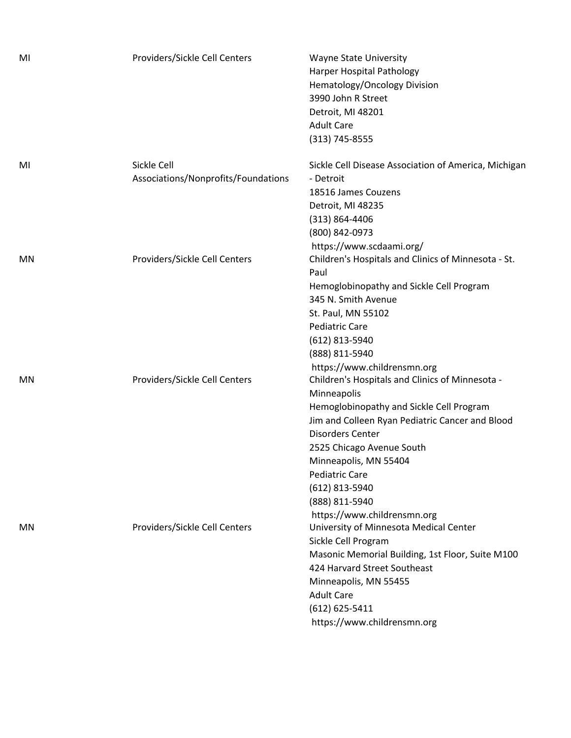| MI        | Providers/Sickle Cell Centers                      | <b>Wayne State University</b><br>Harper Hospital Pathology<br>Hematology/Oncology Division<br>3990 John R Street<br>Detroit, MI 48201<br><b>Adult Care</b><br>(313) 745-8555                                                                                                                                                        |
|-----------|----------------------------------------------------|-------------------------------------------------------------------------------------------------------------------------------------------------------------------------------------------------------------------------------------------------------------------------------------------------------------------------------------|
| MI        | Sickle Cell<br>Associations/Nonprofits/Foundations | Sickle Cell Disease Association of America, Michigan<br>- Detroit<br>18516 James Couzens<br>Detroit, MI 48235<br>$(313) 864 - 4406$<br>(800) 842-0973                                                                                                                                                                               |
| ΜN        | Providers/Sickle Cell Centers                      | https://www.scdaami.org/<br>Children's Hospitals and Clinics of Minnesota - St.<br>Paul<br>Hemoglobinopathy and Sickle Cell Program<br>345 N. Smith Avenue<br>St. Paul, MN 55102<br><b>Pediatric Care</b><br>(612) 813-5940                                                                                                         |
| <b>MN</b> | Providers/Sickle Cell Centers                      | (888) 811-5940<br>https://www.childrensmn.org<br>Children's Hospitals and Clinics of Minnesota -<br>Minneapolis<br>Hemoglobinopathy and Sickle Cell Program<br>Jim and Colleen Ryan Pediatric Cancer and Blood<br><b>Disorders Center</b><br>2525 Chicago Avenue South<br>Minneapolis, MN 55404<br>Pediatric Care<br>(612) 813-5940 |
| ΜN        | Providers/Sickle Cell Centers                      | (888) 811-5940<br>https://www.childrensmn.org<br>University of Minnesota Medical Center<br>Sickle Cell Program<br>Masonic Memorial Building, 1st Floor, Suite M100<br>424 Harvard Street Southeast<br>Minneapolis, MN 55455<br><b>Adult Care</b><br>$(612) 625 - 5411$<br>https://www.childrensmn.org                               |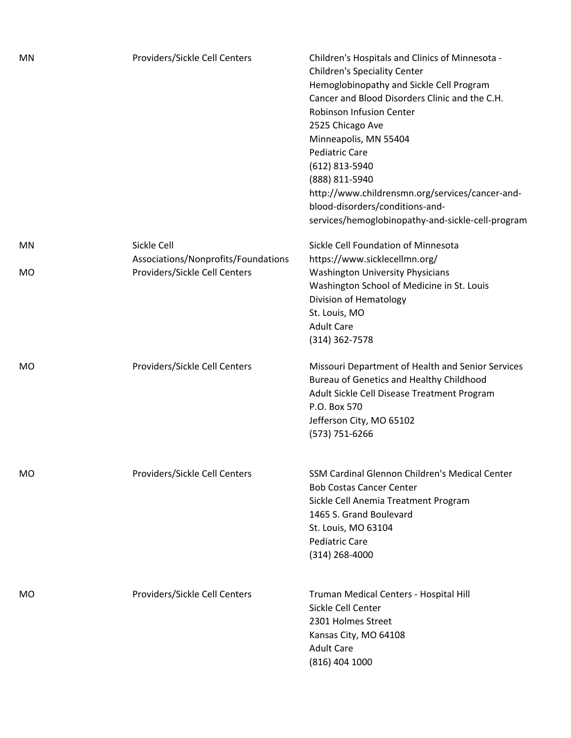| ΜN        | Providers/Sickle Cell Centers                                        | Children's Hospitals and Clinics of Minnesota -<br><b>Children's Speciality Center</b><br>Hemoglobinopathy and Sickle Cell Program<br>Cancer and Blood Disorders Clinic and the C.H.<br><b>Robinson Infusion Center</b><br>2525 Chicago Ave<br>Minneapolis, MN 55404<br><b>Pediatric Care</b><br>(612) 813-5940<br>(888) 811-5940<br>http://www.childrensmn.org/services/cancer-and-<br>blood-disorders/conditions-and-<br>services/hemoglobinopathy-and-sickle-cell-program |
|-----------|----------------------------------------------------------------------|------------------------------------------------------------------------------------------------------------------------------------------------------------------------------------------------------------------------------------------------------------------------------------------------------------------------------------------------------------------------------------------------------------------------------------------------------------------------------|
| MN        | Sickle Cell                                                          | Sickle Cell Foundation of Minnesota                                                                                                                                                                                                                                                                                                                                                                                                                                          |
| <b>MO</b> | Associations/Nonprofits/Foundations<br>Providers/Sickle Cell Centers | https://www.sicklecellmn.org/<br><b>Washington University Physicians</b><br>Washington School of Medicine in St. Louis<br>Division of Hematology<br>St. Louis, MO<br><b>Adult Care</b><br>$(314)$ 362-7578                                                                                                                                                                                                                                                                   |
| <b>MO</b> | Providers/Sickle Cell Centers                                        | Missouri Department of Health and Senior Services<br>Bureau of Genetics and Healthy Childhood<br>Adult Sickle Cell Disease Treatment Program<br>P.O. Box 570<br>Jefferson City, MO 65102<br>(573) 751-6266                                                                                                                                                                                                                                                                   |
| MO        | Providers/Sickle Cell Centers                                        | SSM Cardinal Glennon Children's Medical Center<br><b>Bob Costas Cancer Center</b><br>Sickle Cell Anemia Treatment Program<br>1465 S. Grand Boulevard<br>St. Louis, MO 63104<br><b>Pediatric Care</b><br>$(314)$ 268-4000                                                                                                                                                                                                                                                     |
| MO        | Providers/Sickle Cell Centers                                        | Truman Medical Centers - Hospital Hill<br>Sickle Cell Center<br>2301 Holmes Street<br>Kansas City, MO 64108<br><b>Adult Care</b><br>$(816)$ 404 1000                                                                                                                                                                                                                                                                                                                         |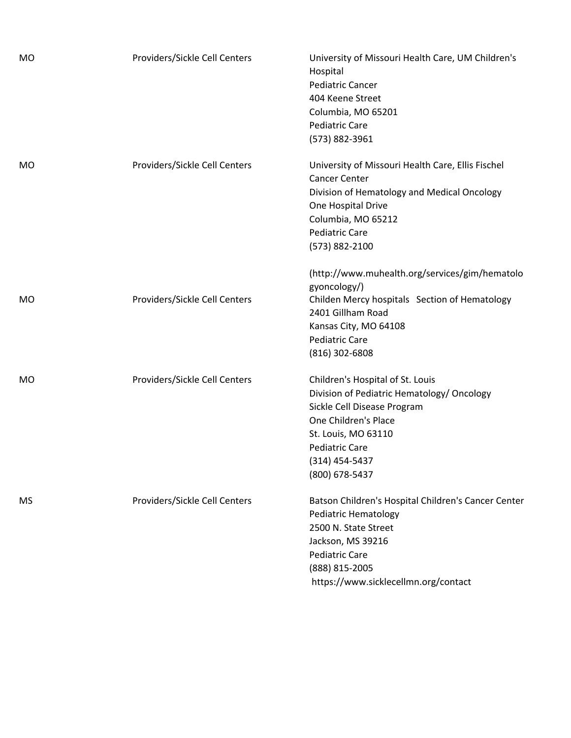| <b>MO</b> | Providers/Sickle Cell Centers | University of Missouri Health Care, UM Children's<br>Hospital<br><b>Pediatric Cancer</b><br>404 Keene Street<br>Columbia, MO 65201<br><b>Pediatric Care</b><br>(573) 882-3961                                               |
|-----------|-------------------------------|-----------------------------------------------------------------------------------------------------------------------------------------------------------------------------------------------------------------------------|
| MO        | Providers/Sickle Cell Centers | University of Missouri Health Care, Ellis Fischel<br><b>Cancer Center</b><br>Division of Hematology and Medical Oncology<br>One Hospital Drive<br>Columbia, MO 65212<br><b>Pediatric Care</b><br>(573) 882-2100             |
| MO        | Providers/Sickle Cell Centers | (http://www.muhealth.org/services/gim/hematolo<br>gyoncology/)<br>Childen Mercy hospitals Section of Hematology<br>2401 Gillham Road<br>Kansas City, MO 64108<br><b>Pediatric Care</b><br>$(816)$ 302-6808                  |
| MO        | Providers/Sickle Cell Centers | Children's Hospital of St. Louis<br>Division of Pediatric Hematology/ Oncology<br>Sickle Cell Disease Program<br>One Children's Place<br>St. Louis, MO 63110<br><b>Pediatric Care</b><br>$(314)$ 454-5437<br>(800) 678-5437 |
| MS        | Providers/Sickle Cell Centers | Batson Children's Hospital Children's Cancer Center<br><b>Pediatric Hematology</b><br>2500 N. State Street<br>Jackson, MS 39216<br><b>Pediatric Care</b><br>(888) 815-2005<br>https://www.sicklecellmn.org/contact          |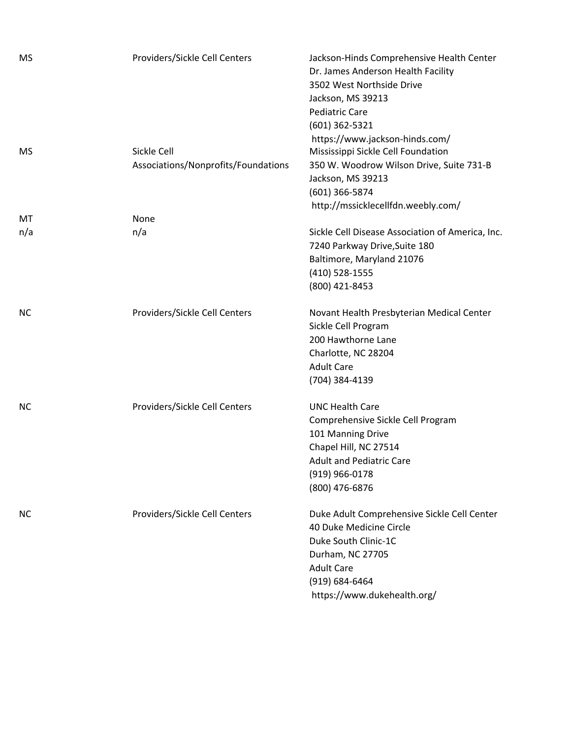| MS        | Providers/Sickle Cell Centers                      | Jackson-Hinds Comprehensive Health Center<br>Dr. James Anderson Health Facility<br>3502 West Northside Drive<br>Jackson, MS 39213<br><b>Pediatric Care</b><br>$(601)$ 362-5321                |
|-----------|----------------------------------------------------|-----------------------------------------------------------------------------------------------------------------------------------------------------------------------------------------------|
| <b>MS</b> | Sickle Cell<br>Associations/Nonprofits/Foundations | https://www.jackson-hinds.com/<br>Mississippi Sickle Cell Foundation<br>350 W. Woodrow Wilson Drive, Suite 731-B<br>Jackson, MS 39213<br>(601) 366-5874<br>http://mssicklecellfdn.weebly.com/ |
| МT        | None                                               |                                                                                                                                                                                               |
| n/a       | n/a                                                | Sickle Cell Disease Association of America, Inc.<br>7240 Parkway Drive, Suite 180<br>Baltimore, Maryland 21076<br>(410) 528-1555<br>(800) 421-8453                                            |
| <b>NC</b> | Providers/Sickle Cell Centers                      | Novant Health Presbyterian Medical Center<br>Sickle Cell Program<br>200 Hawthorne Lane<br>Charlotte, NC 28204<br><b>Adult Care</b><br>(704) 384-4139                                          |
| NC.       | Providers/Sickle Cell Centers                      | <b>UNC Health Care</b><br>Comprehensive Sickle Cell Program<br>101 Manning Drive<br>Chapel Hill, NC 27514<br><b>Adult and Pediatric Care</b><br>(919) 966-0178<br>(800) 476-6876              |
| NC.       | Providers/Sickle Cell Centers                      | Duke Adult Comprehensive Sickle Cell Center<br>40 Duke Medicine Circle<br>Duke South Clinic-1C<br>Durham, NC 27705<br><b>Adult Care</b><br>(919) 684-6464<br>https://www.dukehealth.org/      |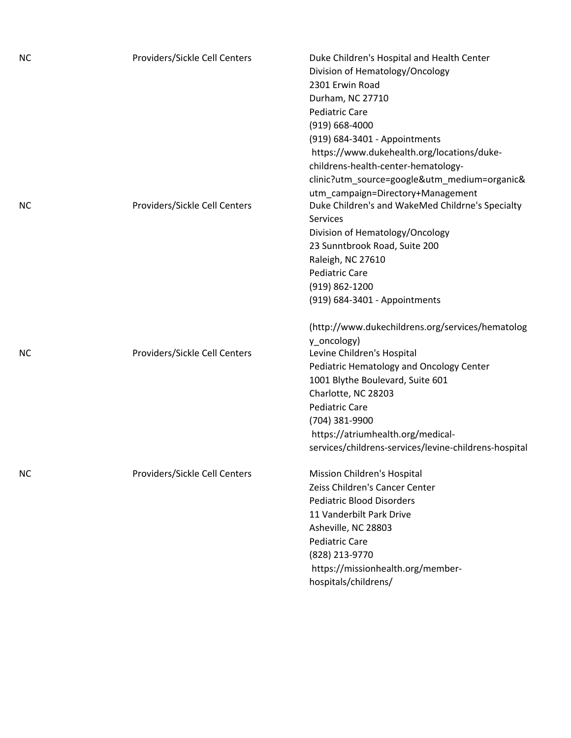| <b>NC</b> | Providers/Sickle Cell Centers | Duke Children's Hospital and Health Center<br>Division of Hematology/Oncology<br>2301 Erwin Road<br>Durham, NC 27710<br><b>Pediatric Care</b><br>$(919) 668 - 4000$<br>(919) 684-3401 - Appointments<br>https://www.dukehealth.org/locations/duke-<br>childrens-health-center-hematology-<br>clinic?utm_source=google&utm_medium=organic&<br>utm_campaign=Directory+Management |
|-----------|-------------------------------|--------------------------------------------------------------------------------------------------------------------------------------------------------------------------------------------------------------------------------------------------------------------------------------------------------------------------------------------------------------------------------|
| <b>NC</b> | Providers/Sickle Cell Centers | Duke Children's and WakeMed Childrne's Specialty<br>Services<br>Division of Hematology/Oncology<br>23 Sunntbrook Road, Suite 200<br>Raleigh, NC 27610<br><b>Pediatric Care</b><br>$(919) 862 - 1200$<br>(919) 684-3401 - Appointments                                                                                                                                          |
| <b>NC</b> | Providers/Sickle Cell Centers | (http://www.dukechildrens.org/services/hematolog<br>y_oncology)<br>Levine Children's Hospital<br>Pediatric Hematology and Oncology Center<br>1001 Blythe Boulevard, Suite 601<br>Charlotte, NC 28203<br><b>Pediatric Care</b><br>(704) 381-9900<br>https://atriumhealth.org/medical-<br>services/childrens-services/levine-childrens-hospital                                  |
| <b>NC</b> | Providers/Sickle Cell Centers | Mission Children's Hospital<br>Zeiss Children's Cancer Center<br><b>Pediatric Blood Disorders</b><br>11 Vanderbilt Park Drive<br>Asheville, NC 28803<br><b>Pediatric Care</b><br>(828) 213-9770<br>https://missionhealth.org/member-<br>hospitals/childrens/                                                                                                                   |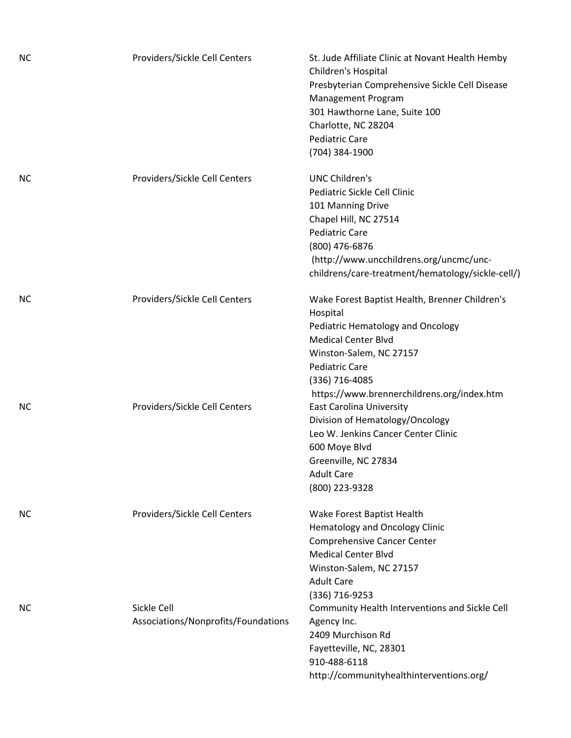| <b>NC</b> | Providers/Sickle Cell Centers                      | St. Jude Affiliate Clinic at Novant Health Hemby<br>Children's Hospital<br>Presbyterian Comprehensive Sickle Cell Disease<br>Management Program<br>301 Hawthorne Lane, Suite 100<br>Charlotte, NC 28204<br><b>Pediatric Care</b><br>(704) 384-1900 |
|-----------|----------------------------------------------------|----------------------------------------------------------------------------------------------------------------------------------------------------------------------------------------------------------------------------------------------------|
| NС        | Providers/Sickle Cell Centers                      | <b>UNC Children's</b><br>Pediatric Sickle Cell Clinic<br>101 Manning Drive<br>Chapel Hill, NC 27514<br><b>Pediatric Care</b><br>(800) 476-6876<br>(http://www.uncchildrens.org/uncmc/unc-<br>childrens/care-treatment/hematology/sickle-cell/)     |
| <b>NC</b> | Providers/Sickle Cell Centers                      | Wake Forest Baptist Health, Brenner Children's<br>Hospital<br>Pediatric Hematology and Oncology<br><b>Medical Center Blvd</b><br>Winston-Salem, NC 27157<br><b>Pediatric Care</b><br>(336) 716-4085<br>https://www.brennerchildrens.org/index.htm  |
| NС        | Providers/Sickle Cell Centers                      | <b>East Carolina University</b><br>Division of Hematology/Oncology<br>Leo W. Jenkins Cancer Center Clinic<br>600 Moye Blvd<br>Greenville, NC 27834<br><b>Adult Care</b><br>(800) 223-9328                                                          |
| <b>NC</b> | Providers/Sickle Cell Centers                      | Wake Forest Baptist Health<br><b>Hematology and Oncology Clinic</b><br><b>Comprehensive Cancer Center</b><br><b>Medical Center Blvd</b><br>Winston-Salem, NC 27157<br><b>Adult Care</b><br>(336) 716-9253                                          |
| NС        | Sickle Cell<br>Associations/Nonprofits/Foundations | Community Health Interventions and Sickle Cell<br>Agency Inc.<br>2409 Murchison Rd<br>Fayetteville, NC, 28301<br>910-488-6118<br>http://communityhealthinterventions.org/                                                                          |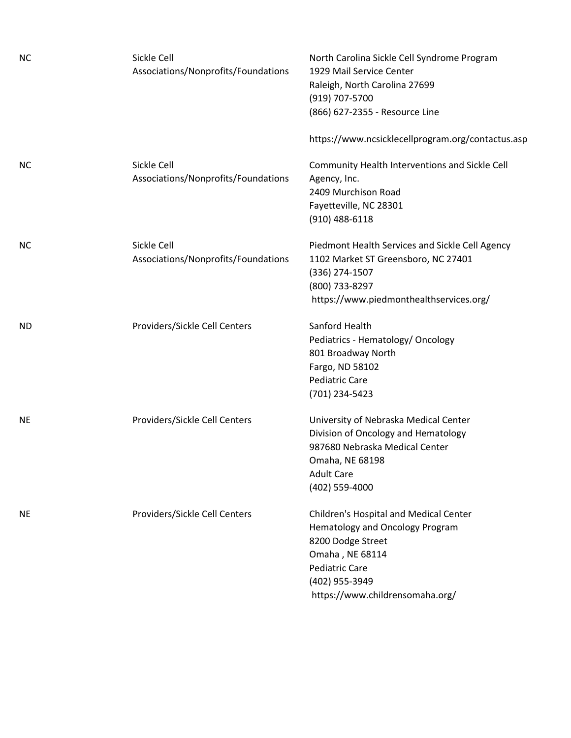| <b>NC</b> | Sickle Cell<br>Associations/Nonprofits/Foundations | North Carolina Sickle Cell Syndrome Program<br>1929 Mail Service Center<br>Raleigh, North Carolina 27699<br>(919) 707-5700<br>(866) 627-2355 - Resource Line                                    |
|-----------|----------------------------------------------------|-------------------------------------------------------------------------------------------------------------------------------------------------------------------------------------------------|
|           |                                                    | https://www.ncsicklecellprogram.org/contactus.asp                                                                                                                                               |
| <b>NC</b> | Sickle Cell<br>Associations/Nonprofits/Foundations | Community Health Interventions and Sickle Cell<br>Agency, Inc.<br>2409 Murchison Road<br>Fayetteville, NC 28301<br>$(910)$ 488-6118                                                             |
| <b>NC</b> | Sickle Cell<br>Associations/Nonprofits/Foundations | Piedmont Health Services and Sickle Cell Agency<br>1102 Market ST Greensboro, NC 27401<br>(336) 274-1507<br>(800) 733-8297<br>https://www.piedmonthealthservices.org/                           |
| <b>ND</b> | Providers/Sickle Cell Centers                      | Sanford Health<br>Pediatrics - Hematology/ Oncology<br>801 Broadway North<br>Fargo, ND 58102<br><b>Pediatric Care</b><br>(701) 234-5423                                                         |
| <b>NE</b> | Providers/Sickle Cell Centers                      | University of Nebraska Medical Center<br>Division of Oncology and Hematology<br>987680 Nebraska Medical Center<br>Omaha, NE 68198<br><b>Adult Care</b><br>(402) 559-4000                        |
| <b>NE</b> | Providers/Sickle Cell Centers                      | Children's Hospital and Medical Center<br>Hematology and Oncology Program<br>8200 Dodge Street<br>Omaha, NE 68114<br><b>Pediatric Care</b><br>(402) 955-3949<br>https://www.childrensomaha.org/ |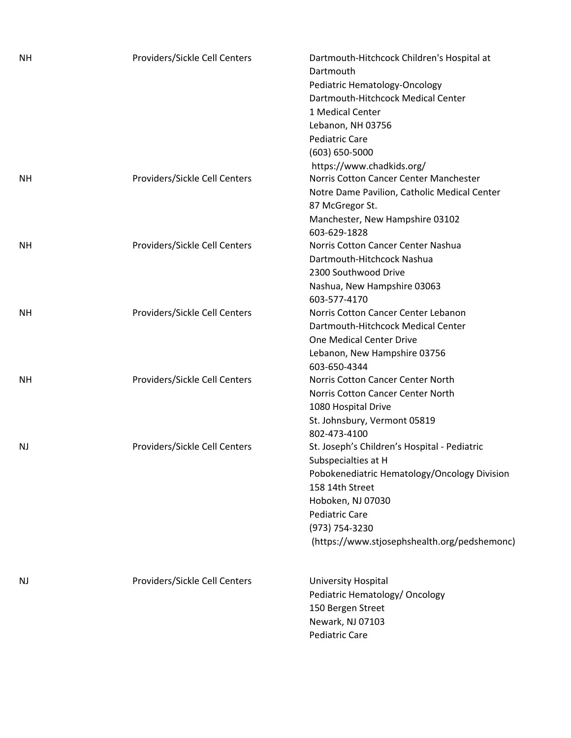| <b>NH</b> | Providers/Sickle Cell Centers | Dartmouth-Hitchcock Children's Hospital at<br>Dartmouth<br>Pediatric Hematology-Oncology<br>Dartmouth-Hitchcock Medical Center<br>1 Medical Center<br>Lebanon, NH 03756<br><b>Pediatric Care</b><br>(603) 650-5000<br>https://www.chadkids.org/        |
|-----------|-------------------------------|--------------------------------------------------------------------------------------------------------------------------------------------------------------------------------------------------------------------------------------------------------|
| NΗ        | Providers/Sickle Cell Centers | Norris Cotton Cancer Center Manchester<br>Notre Dame Pavilion, Catholic Medical Center<br>87 McGregor St.<br>Manchester, New Hampshire 03102<br>603-629-1828                                                                                           |
| <b>NH</b> | Providers/Sickle Cell Centers | Norris Cotton Cancer Center Nashua<br>Dartmouth-Hitchcock Nashua<br>2300 Southwood Drive<br>Nashua, New Hampshire 03063<br>603-577-4170                                                                                                                |
| <b>NH</b> | Providers/Sickle Cell Centers | Norris Cotton Cancer Center Lebanon<br>Dartmouth-Hitchcock Medical Center<br>One Medical Center Drive<br>Lebanon, New Hampshire 03756<br>603-650-4344                                                                                                  |
| NΗ        | Providers/Sickle Cell Centers | Norris Cotton Cancer Center North<br>Norris Cotton Cancer Center North<br>1080 Hospital Drive<br>St. Johnsbury, Vermont 05819<br>802-473-4100                                                                                                          |
| NJ        | Providers/Sickle Cell Centers | St. Joseph's Children's Hospital - Pediatric<br>Subspecialties at H<br>Pobokenediatric Hematology/Oncology Division<br>158 14th Street<br>Hoboken, NJ 07030<br><b>Pediatric Care</b><br>(973) 754-3230<br>(https://www.stjosephshealth.org/pedshemonc) |
| NJ        | Providers/Sickle Cell Centers | University Hospital<br>Pediatric Hematology/ Oncology<br>150 Bergen Street<br>Newark, NJ 07103<br>Pediatric Care                                                                                                                                       |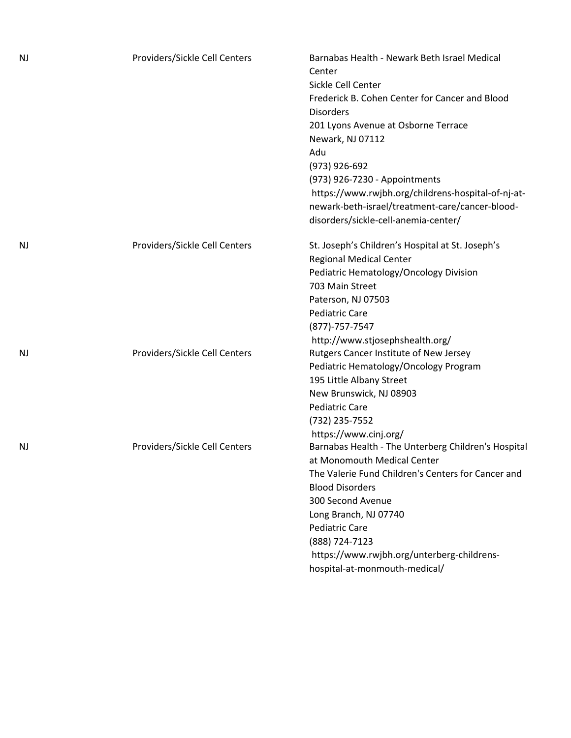| NJ | Providers/Sickle Cell Centers | Barnabas Health - Newark Beth Israel Medical<br>Center<br>Sickle Cell Center<br>Frederick B. Cohen Center for Cancer and Blood<br><b>Disorders</b><br>201 Lyons Avenue at Osborne Terrace<br>Newark, NJ 07112<br>Adu<br>(973) 926-692<br>(973) 926-7230 - Appointments<br>https://www.rwjbh.org/childrens-hospital-of-nj-at-<br>newark-beth-israel/treatment-care/cancer-blood- |
|----|-------------------------------|---------------------------------------------------------------------------------------------------------------------------------------------------------------------------------------------------------------------------------------------------------------------------------------------------------------------------------------------------------------------------------|
|    |                               | disorders/sickle-cell-anemia-center/                                                                                                                                                                                                                                                                                                                                            |
| NJ | Providers/Sickle Cell Centers | St. Joseph's Children's Hospital at St. Joseph's<br><b>Regional Medical Center</b><br>Pediatric Hematology/Oncology Division<br>703 Main Street<br>Paterson, NJ 07503<br><b>Pediatric Care</b><br>$(877) - 757 - 7547$<br>http://www.stjosephshealth.org/                                                                                                                       |
| NJ | Providers/Sickle Cell Centers | Rutgers Cancer Institute of New Jersey<br>Pediatric Hematology/Oncology Program<br>195 Little Albany Street<br>New Brunswick, NJ 08903<br><b>Pediatric Care</b><br>(732) 235-7552<br>https://www.cinj.org/                                                                                                                                                                      |
| NJ | Providers/Sickle Cell Centers | Barnabas Health - The Unterberg Children's Hospital<br>at Monomouth Medical Center<br>The Valerie Fund Children's Centers for Cancer and<br><b>Blood Disorders</b><br>300 Second Avenue<br>Long Branch, NJ 07740<br><b>Pediatric Care</b><br>(888) 724-7123<br>https://www.rwjbh.org/unterberg-childrens-<br>hospital-at-monmouth-medical/                                      |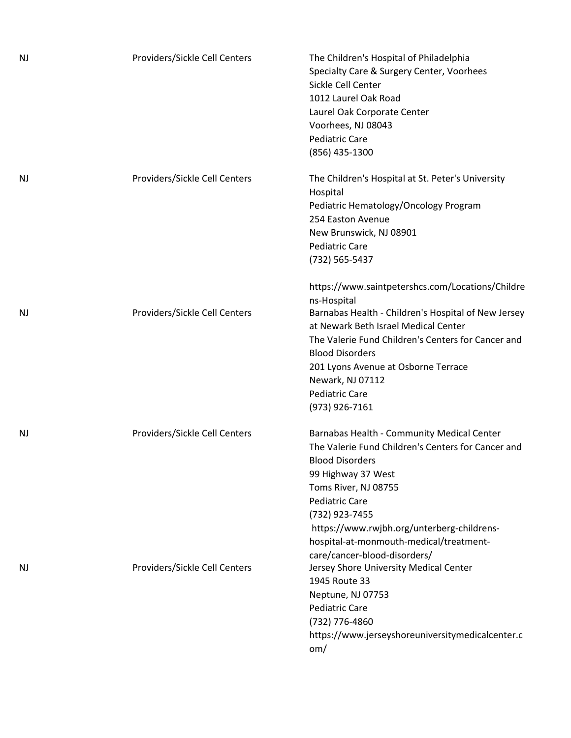| <b>NJ</b> | Providers/Sickle Cell Centers | The Children's Hospital of Philadelphia<br>Specialty Care & Surgery Center, Voorhees<br>Sickle Cell Center<br>1012 Laurel Oak Road<br>Laurel Oak Corporate Center<br>Voorhees, NJ 08043<br><b>Pediatric Care</b><br>(856) 435-1300                                                                                                                   |
|-----------|-------------------------------|------------------------------------------------------------------------------------------------------------------------------------------------------------------------------------------------------------------------------------------------------------------------------------------------------------------------------------------------------|
| NJ        | Providers/Sickle Cell Centers | The Children's Hospital at St. Peter's University<br>Hospital<br>Pediatric Hematology/Oncology Program<br>254 Easton Avenue<br>New Brunswick, NJ 08901<br><b>Pediatric Care</b><br>(732) 565-5437                                                                                                                                                    |
| NJ        | Providers/Sickle Cell Centers | https://www.saintpetershcs.com/Locations/Childre<br>ns-Hospital<br>Barnabas Health - Children's Hospital of New Jersey<br>at Newark Beth Israel Medical Center<br>The Valerie Fund Children's Centers for Cancer and<br><b>Blood Disorders</b><br>201 Lyons Avenue at Osborne Terrace<br>Newark, NJ 07112<br><b>Pediatric Care</b><br>(973) 926-7161 |
| NJ        | Providers/Sickle Cell Centers | Barnabas Health - Community Medical Center<br>The Valerie Fund Children's Centers for Cancer and<br><b>Blood Disorders</b><br>99 Highway 37 West<br>Toms River, NJ 08755<br><b>Pediatric Care</b><br>(732) 923-7455<br>https://www.rwjbh.org/unterberg-childrens-<br>hospital-at-monmouth-medical/treatment-<br>care/cancer-blood-disorders/         |
| <b>NJ</b> | Providers/Sickle Cell Centers | Jersey Shore University Medical Center<br>1945 Route 33<br>Neptune, NJ 07753<br><b>Pediatric Care</b><br>(732) 776-4860<br>https://www.jerseyshoreuniversitymedicalcenter.c<br>om/                                                                                                                                                                   |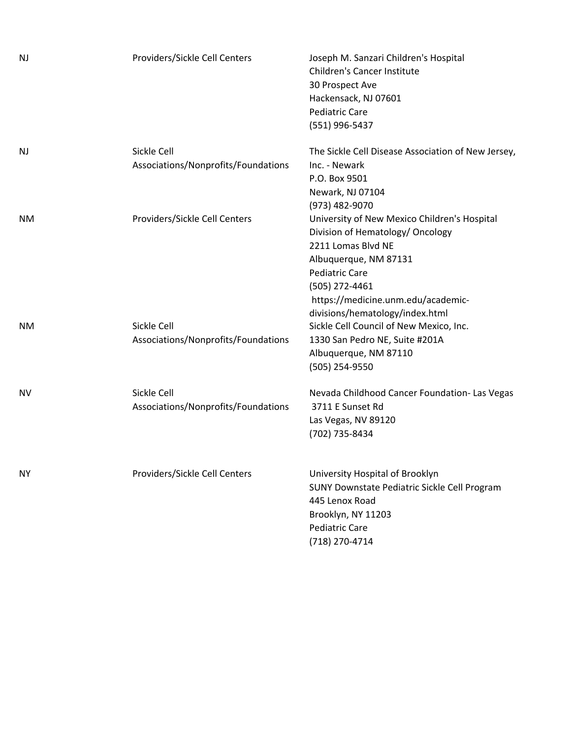| <b>NJ</b> | Providers/Sickle Cell Centers                      | Joseph M. Sanzari Children's Hospital<br>Children's Cancer Institute<br>30 Prospect Ave<br>Hackensack, NJ 07601<br><b>Pediatric Care</b><br>(551) 996-5437                                                                                          |
|-----------|----------------------------------------------------|-----------------------------------------------------------------------------------------------------------------------------------------------------------------------------------------------------------------------------------------------------|
| <b>NJ</b> | Sickle Cell<br>Associations/Nonprofits/Foundations | The Sickle Cell Disease Association of New Jersey,<br>Inc. - Newark<br>P.O. Box 9501<br>Newark, NJ 07104<br>(973) 482-9070                                                                                                                          |
| ΝM        | Providers/Sickle Cell Centers                      | University of New Mexico Children's Hospital<br>Division of Hematology/ Oncology<br>2211 Lomas Blvd NE<br>Albuquerque, NM 87131<br><b>Pediatric Care</b><br>(505) 272-4461<br>https://medicine.unm.edu/academic-<br>divisions/hematology/index.html |
| ΝM        | Sickle Cell<br>Associations/Nonprofits/Foundations | Sickle Cell Council of New Mexico, Inc.<br>1330 San Pedro NE, Suite #201A<br>Albuquerque, NM 87110<br>(505) 254-9550                                                                                                                                |
| <b>NV</b> | Sickle Cell<br>Associations/Nonprofits/Foundations | Nevada Childhood Cancer Foundation- Las Vegas<br>3711 E Sunset Rd<br>Las Vegas, NV 89120<br>(702) 735-8434                                                                                                                                          |
| <b>NY</b> | Providers/Sickle Cell Centers                      | University Hospital of Brooklyn<br>SUNY Downstate Pediatric Sickle Cell Program<br>445 Lenox Road<br>Brooklyn, NY 11203<br><b>Pediatric Care</b><br>(718) 270-4714                                                                                  |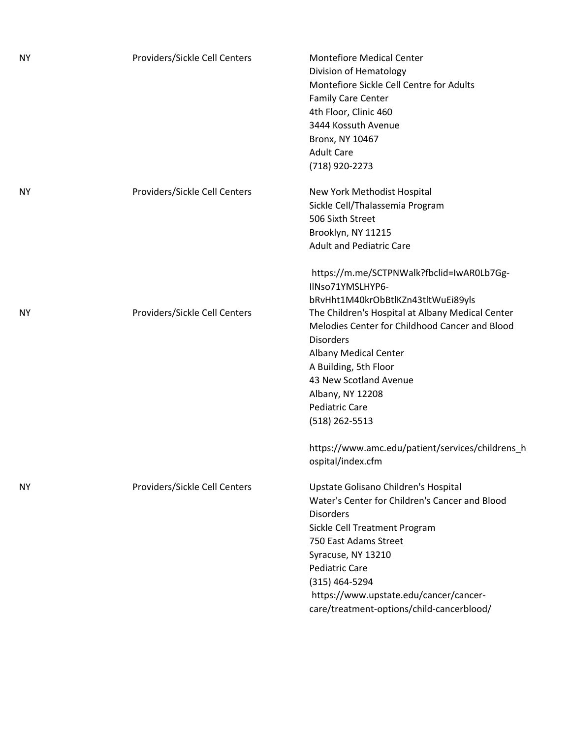| NΥ | Providers/Sickle Cell Centers | <b>Montefiore Medical Center</b><br>Division of Hematology<br>Montefiore Sickle Cell Centre for Adults<br>Family Care Center<br>4th Floor, Clinic 460<br>3444 Kossuth Avenue<br>Bronx, NY 10467<br><b>Adult Care</b>                                                                                                         |
|----|-------------------------------|------------------------------------------------------------------------------------------------------------------------------------------------------------------------------------------------------------------------------------------------------------------------------------------------------------------------------|
|    |                               | (718) 920-2273                                                                                                                                                                                                                                                                                                               |
| NΥ | Providers/Sickle Cell Centers | New York Methodist Hospital<br>Sickle Cell/Thalassemia Program<br>506 Sixth Street<br>Brooklyn, NY 11215<br><b>Adult and Pediatric Care</b>                                                                                                                                                                                  |
|    |                               | https://m.me/SCTPNWalk?fbclid=IwAR0Lb7Gg-<br>IlNso71YMSLHYP6-<br>bRvHht1M40krObBtlKZn43tltWuEi89yls                                                                                                                                                                                                                          |
| NΥ | Providers/Sickle Cell Centers | The Children's Hospital at Albany Medical Center<br>Melodies Center for Childhood Cancer and Blood<br><b>Disorders</b><br><b>Albany Medical Center</b><br>A Building, 5th Floor<br>43 New Scotland Avenue<br>Albany, NY 12208<br>Pediatric Care<br>(518) 262-5513                                                            |
|    |                               | https://www.amc.edu/patient/services/childrens_h<br>ospital/index.cfm                                                                                                                                                                                                                                                        |
| NΥ | Providers/Sickle Cell Centers | Upstate Golisano Children's Hospital<br>Water's Center for Children's Cancer and Blood<br><b>Disorders</b><br>Sickle Cell Treatment Program<br>750 East Adams Street<br>Syracuse, NY 13210<br><b>Pediatric Care</b><br>(315) 464-5294<br>https://www.upstate.edu/cancer/cancer-<br>care/treatment-options/child-cancerblood/ |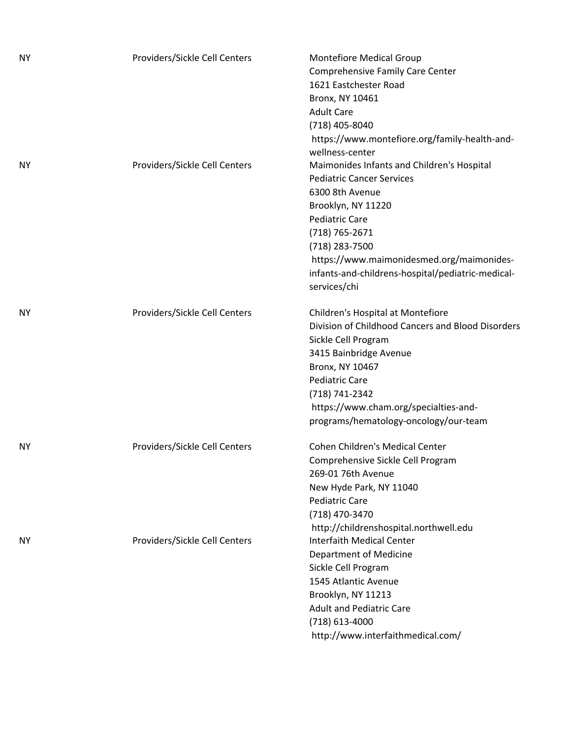| <b>NY</b> | Providers/Sickle Cell Centers | <b>Montefiore Medical Group</b><br>Comprehensive Family Care Center<br>1621 Eastchester Road<br>Bronx, NY 10461<br><b>Adult Care</b><br>(718) 405-8040<br>https://www.montefiore.org/family-health-and-                                                                                                                   |
|-----------|-------------------------------|---------------------------------------------------------------------------------------------------------------------------------------------------------------------------------------------------------------------------------------------------------------------------------------------------------------------------|
| NΥ        | Providers/Sickle Cell Centers | wellness-center<br>Maimonides Infants and Children's Hospital<br><b>Pediatric Cancer Services</b><br>6300 8th Avenue<br>Brooklyn, NY 11220<br><b>Pediatric Care</b><br>(718) 765-2671<br>(718) 283-7500<br>https://www.maimonidesmed.org/maimonides-<br>infants-and-childrens-hospital/pediatric-medical-<br>services/chi |
| NΥ        | Providers/Sickle Cell Centers | Children's Hospital at Montefiore<br>Division of Childhood Cancers and Blood Disorders<br>Sickle Cell Program<br>3415 Bainbridge Avenue<br>Bronx, NY 10467<br><b>Pediatric Care</b><br>(718) 741-2342<br>https://www.cham.org/specialties-and-<br>programs/hematology-oncology/our-team                                   |
| NΥ        | Providers/Sickle Cell Centers | <b>Cohen Children's Medical Center</b><br>Comprehensive Sickle Cell Program<br>269-01 76th Avenue<br>New Hyde Park, NY 11040<br><b>Pediatric Care</b><br>(718) 470-3470<br>http://childrenshospital.northwell.edu                                                                                                         |
| NY        | Providers/Sickle Cell Centers | <b>Interfaith Medical Center</b><br>Department of Medicine<br>Sickle Cell Program<br>1545 Atlantic Avenue<br>Brooklyn, NY 11213<br><b>Adult and Pediatric Care</b><br>$(718)$ 613-4000<br>http://www.interfaithmedical.com/                                                                                               |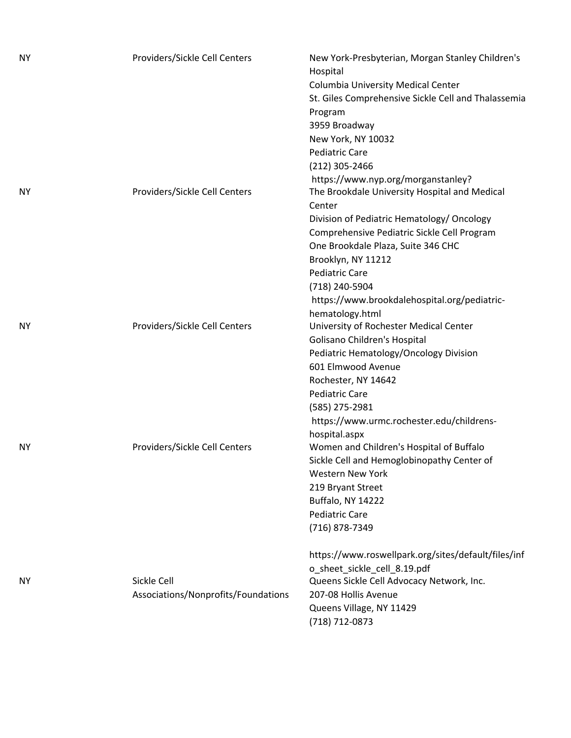| <b>NY</b> | Providers/Sickle Cell Centers       | New York-Presbyterian, Morgan Stanley Children's<br>Hospital |
|-----------|-------------------------------------|--------------------------------------------------------------|
|           |                                     | Columbia University Medical Center                           |
|           |                                     | St. Giles Comprehensive Sickle Cell and Thalassemia          |
|           |                                     | Program                                                      |
|           |                                     | 3959 Broadway                                                |
|           |                                     | New York, NY 10032                                           |
|           |                                     | <b>Pediatric Care</b>                                        |
|           |                                     | (212) 305-2466                                               |
|           |                                     | https://www.nyp.org/morganstanley?                           |
| <b>NY</b> | Providers/Sickle Cell Centers       | The Brookdale University Hospital and Medical                |
|           |                                     | Center                                                       |
|           |                                     | Division of Pediatric Hematology/ Oncology                   |
|           |                                     | Comprehensive Pediatric Sickle Cell Program                  |
|           |                                     |                                                              |
|           |                                     | One Brookdale Plaza, Suite 346 CHC                           |
|           |                                     | Brooklyn, NY 11212                                           |
|           |                                     | <b>Pediatric Care</b>                                        |
|           |                                     | (718) 240-5904                                               |
|           |                                     | https://www.brookdalehospital.org/pediatric-                 |
|           |                                     | hematology.html                                              |
| NΥ        | Providers/Sickle Cell Centers       | University of Rochester Medical Center                       |
|           |                                     | Golisano Children's Hospital                                 |
|           |                                     | Pediatric Hematology/Oncology Division                       |
|           |                                     | 601 Elmwood Avenue                                           |
|           |                                     | Rochester, NY 14642                                          |
|           |                                     | <b>Pediatric Care</b>                                        |
|           |                                     | (585) 275-2981                                               |
|           |                                     | https://www.urmc.rochester.edu/childrens-                    |
|           |                                     | hospital.aspx                                                |
| NY        | Providers/Sickle Cell Centers       | Women and Children's Hospital of Buffalo                     |
|           |                                     | Sickle Cell and Hemoglobinopathy Center of                   |
|           |                                     | <b>Western New York</b>                                      |
|           |                                     | 219 Bryant Street                                            |
|           |                                     | Buffalo, NY 14222                                            |
|           |                                     | <b>Pediatric Care</b>                                        |
|           |                                     | (716) 878-7349                                               |
|           |                                     | https://www.roswellpark.org/sites/default/files/inf          |
|           |                                     | o sheet sickle cell 8.19.pdf                                 |
| NΥ        | Sickle Cell                         | Queens Sickle Cell Advocacy Network, Inc.                    |
|           | Associations/Nonprofits/Foundations | 207-08 Hollis Avenue                                         |
|           |                                     | Queens Village, NY 11429                                     |
|           |                                     | (718) 712-0873                                               |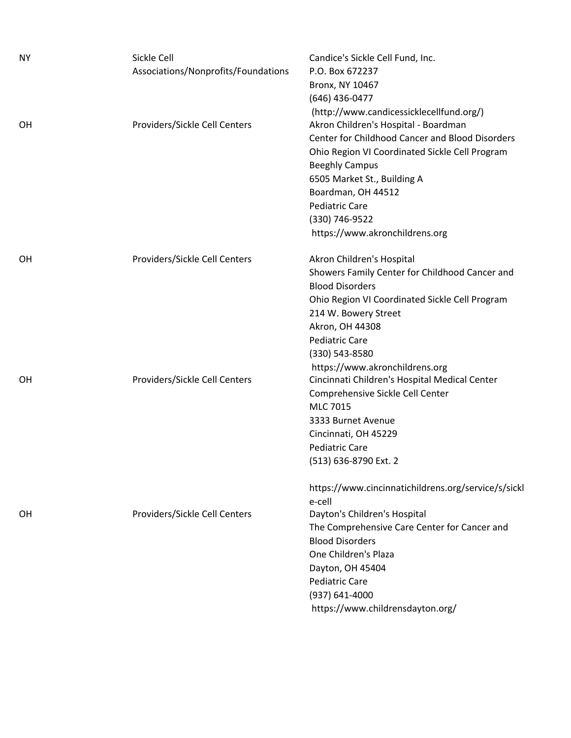| ΝY        | Sickle Cell                         | Candice's Sickle Cell Fund, Inc.                                       |
|-----------|-------------------------------------|------------------------------------------------------------------------|
|           | Associations/Nonprofits/Foundations | P.O. Box 672237                                                        |
|           |                                     | Bronx, NY 10467                                                        |
|           |                                     | (646) 436-0477                                                         |
|           |                                     | (http://www.candicessicklecellfund.org/)                               |
| OН        | Providers/Sickle Cell Centers       | Akron Children's Hospital - Boardman                                   |
|           |                                     | Center for Childhood Cancer and Blood Disorders                        |
|           |                                     | Ohio Region VI Coordinated Sickle Cell Program                         |
|           |                                     | <b>Beeghly Campus</b>                                                  |
|           |                                     | 6505 Market St., Building A                                            |
|           |                                     | Boardman, OH 44512                                                     |
|           |                                     | <b>Pediatric Care</b>                                                  |
|           |                                     | (330) 746-9522                                                         |
|           |                                     | https://www.akronchildrens.org                                         |
|           |                                     |                                                                        |
| OН        | Providers/Sickle Cell Centers       | Akron Children's Hospital                                              |
|           |                                     | Showers Family Center for Childhood Cancer and                         |
|           |                                     | <b>Blood Disorders</b>                                                 |
|           |                                     | Ohio Region VI Coordinated Sickle Cell Program                         |
|           |                                     | 214 W. Bowery Street                                                   |
|           |                                     | Akron, OH 44308                                                        |
|           |                                     | <b>Pediatric Care</b>                                                  |
|           |                                     | (330) 543-8580                                                         |
|           |                                     | https://www.akronchildrens.org                                         |
| <b>OH</b> | Providers/Sickle Cell Centers       | Cincinnati Children's Hospital Medical Center                          |
|           |                                     | Comprehensive Sickle Cell Center                                       |
|           |                                     | <b>MLC 7015</b>                                                        |
|           |                                     | 3333 Burnet Avenue                                                     |
|           |                                     | Cincinnati, OH 45229                                                   |
|           |                                     | <b>Pediatric Care</b>                                                  |
|           |                                     | (513) 636-8790 Ext. 2                                                  |
|           |                                     |                                                                        |
|           |                                     | https://www.cincinnatichildrens.org/service/s/sickl                    |
|           |                                     | e-cell                                                                 |
| OH.       | Providers/Sickle Cell Centers       | Dayton's Children's Hospital                                           |
|           |                                     | The Comprehensive Care Center for Cancer and<br><b>Blood Disorders</b> |
|           |                                     |                                                                        |
|           |                                     | One Children's Plaza                                                   |
|           |                                     | Dayton, OH 45404                                                       |
|           |                                     | <b>Pediatric Care</b>                                                  |
|           |                                     | (937) 641-4000                                                         |
|           |                                     | https://www.childrensdayton.org/                                       |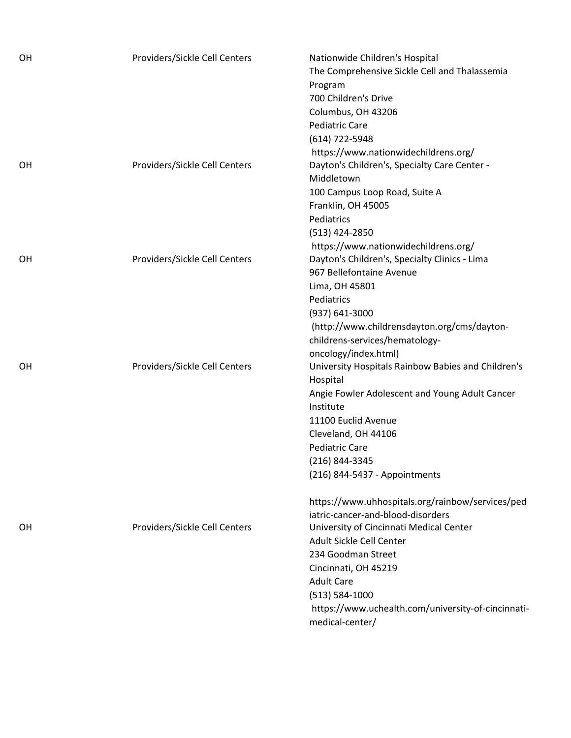| OH        | Providers/Sickle Cell Centers | Nationwide Children's Hospital<br>The Comprehensive Sickle Cell and Thalassemia<br>Program<br>700 Children's Drive<br>Columbus, OH 43206<br>Pediatric Care<br>(614) 722-5948<br>https://www.nationwidechildrens.org/                                                                                                                             |
|-----------|-------------------------------|--------------------------------------------------------------------------------------------------------------------------------------------------------------------------------------------------------------------------------------------------------------------------------------------------------------------------------------------------|
| OH        | Providers/Sickle Cell Centers | Dayton's Children's, Specialty Care Center -<br>Middletown<br>100 Campus Loop Road, Suite A<br>Franklin, OH 45005<br>Pediatrics<br>(513) 424-2850<br>https://www.nationwidechildrens.org/                                                                                                                                                        |
| <b>OH</b> | Providers/Sickle Cell Centers | Dayton's Children's, Specialty Clinics - Lima<br>967 Bellefontaine Avenue<br>Lima, OH 45801<br>Pediatrics<br>(937) 641-3000<br>(http://www.childrensdayton.org/cms/dayton-<br>childrens-services/hematology-<br>oncology/index.html)                                                                                                             |
| OH        | Providers/Sickle Cell Centers | University Hospitals Rainbow Babies and Children's<br>Hospital<br>Angie Fowler Adolescent and Young Adult Cancer<br>Institute<br>11100 Euclid Avenue<br>Cleveland, OH 44106<br><b>Pediatric Care</b><br>(216) 844-3345<br>(216) 844-5437 - Appointments<br>https://www.uhhospitals.org/rainbow/services/ped<br>iatric-cancer-and-blood-disorders |
| OH        | Providers/Sickle Cell Centers | University of Cincinnati Medical Center<br>Adult Sickle Cell Center<br>234 Goodman Street<br>Cincinnati, OH 45219<br><b>Adult Care</b><br>$(513) 584 - 1000$<br>https://www.uchealth.com/university-of-cincinnati-<br>medical-center/                                                                                                            |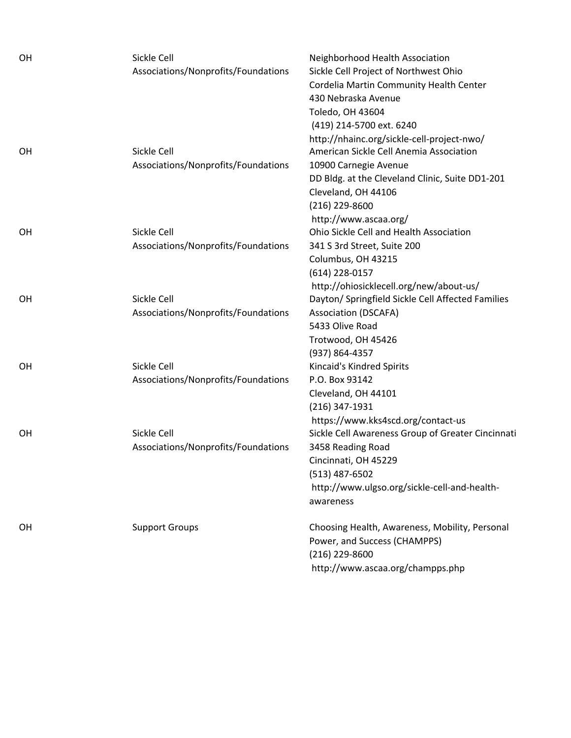| OH | Sickle Cell                         | Neighborhood Health Association                           |
|----|-------------------------------------|-----------------------------------------------------------|
|    | Associations/Nonprofits/Foundations | Sickle Cell Project of Northwest Ohio                     |
|    |                                     | Cordelia Martin Community Health Center                   |
|    |                                     | 430 Nebraska Avenue                                       |
|    |                                     | Toledo, OH 43604                                          |
|    |                                     | (419) 214-5700 ext. 6240                                  |
|    |                                     | http://nhainc.org/sickle-cell-project-nwo/                |
| OH | Sickle Cell                         | American Sickle Cell Anemia Association                   |
|    | Associations/Nonprofits/Foundations | 10900 Carnegie Avenue                                     |
|    |                                     | DD Bldg. at the Cleveland Clinic, Suite DD1-201           |
|    |                                     | Cleveland, OH 44106                                       |
|    |                                     | $(216)$ 229-8600                                          |
|    |                                     | http://www.ascaa.org/                                     |
| OH | Sickle Cell                         | Ohio Sickle Cell and Health Association                   |
|    | Associations/Nonprofits/Foundations | 341 S 3rd Street, Suite 200                               |
|    |                                     | Columbus, OH 43215                                        |
|    |                                     | $(614)$ 228-0157                                          |
|    |                                     | http://ohiosicklecell.org/new/about-us/                   |
| OH | Sickle Cell                         | Dayton/ Springfield Sickle Cell Affected Families         |
|    | Associations/Nonprofits/Foundations | <b>Association (DSCAFA)</b>                               |
|    |                                     | 5433 Olive Road                                           |
|    |                                     | Trotwood, OH 45426                                        |
|    |                                     | (937) 864-4357                                            |
| OH | Sickle Cell                         | Kincaid's Kindred Spirits                                 |
|    | Associations/Nonprofits/Foundations | P.O. Box 93142                                            |
|    |                                     | Cleveland, OH 44101                                       |
|    |                                     | $(216)$ 347-1931                                          |
|    |                                     | https://www.kks4scd.org/contact-us                        |
| OH | Sickle Cell                         | Sickle Cell Awareness Group of Greater Cincinnati         |
|    | Associations/Nonprofits/Foundations | 3458 Reading Road                                         |
|    |                                     | Cincinnati, OH 45229                                      |
|    |                                     | $(513)$ 487-6502                                          |
|    |                                     | http://www.ulgso.org/sickle-cell-and-health-<br>awareness |
|    |                                     |                                                           |
| OH | <b>Support Groups</b>               | Choosing Health, Awareness, Mobility, Personal            |
|    |                                     | Power, and Success (CHAMPPS)                              |
|    |                                     | (216) 229-8600                                            |
|    |                                     | http://www.ascaa.org/champps.php                          |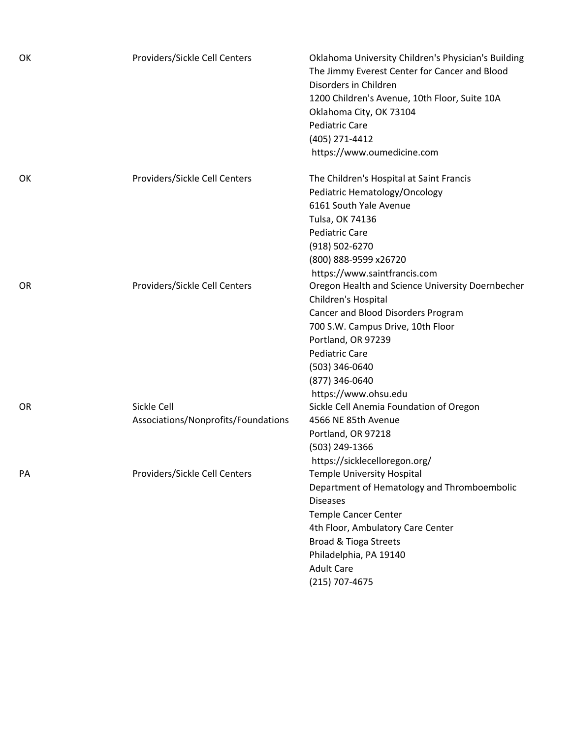| OK | Providers/Sickle Cell Centers                      | Oklahoma University Children's Physician's Building<br>The Jimmy Everest Center for Cancer and Blood<br>Disorders in Children<br>1200 Children's Avenue, 10th Floor, Suite 10A<br>Oklahoma City, OK 73104<br><b>Pediatric Care</b><br>(405) 271-4412<br>https://www.oumedicine.com |
|----|----------------------------------------------------|------------------------------------------------------------------------------------------------------------------------------------------------------------------------------------------------------------------------------------------------------------------------------------|
| OK | Providers/Sickle Cell Centers                      | The Children's Hospital at Saint Francis<br>Pediatric Hematology/Oncology<br>6161 South Yale Avenue<br>Tulsa, OK 74136<br><b>Pediatric Care</b><br>(918) 502-6270<br>(800) 888-9599 x26720<br>https://www.saintfrancis.com                                                         |
| OR | Providers/Sickle Cell Centers                      | Oregon Health and Science University Doernbecher<br>Children's Hospital<br>Cancer and Blood Disorders Program<br>700 S.W. Campus Drive, 10th Floor<br>Portland, OR 97239<br><b>Pediatric Care</b><br>(503) 346-0640<br>(877) 346-0640<br>https://www.ohsu.edu                      |
| OR | Sickle Cell<br>Associations/Nonprofits/Foundations | Sickle Cell Anemia Foundation of Oregon<br>4566 NE 85th Avenue<br>Portland, OR 97218<br>(503) 249-1366<br>https://sicklecelloregon.org/                                                                                                                                            |
| PA | Providers/Sickle Cell Centers                      | <b>Temple University Hospital</b><br>Department of Hematology and Thromboembolic<br><b>Diseases</b><br><b>Temple Cancer Center</b><br>4th Floor, Ambulatory Care Center<br><b>Broad &amp; Tioga Streets</b><br>Philadelphia, PA 19140<br><b>Adult Care</b><br>(215) 707-4675       |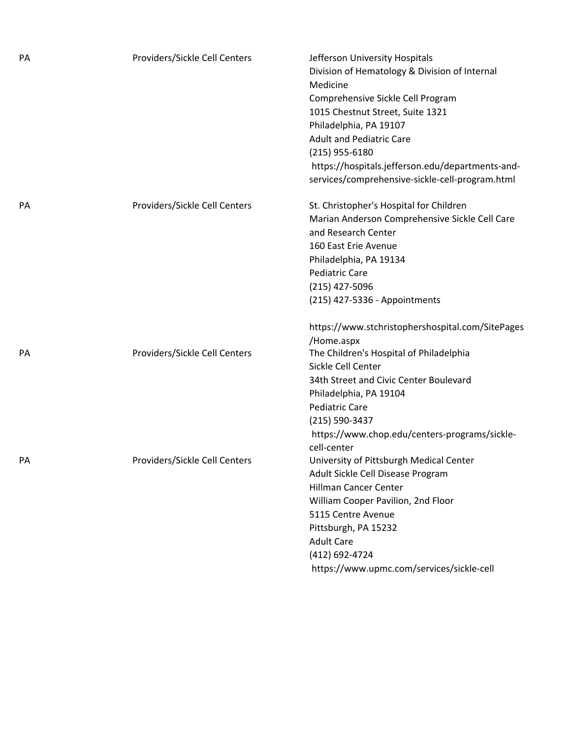| PA | Providers/Sickle Cell Centers | Jefferson University Hospitals<br>Division of Hematology & Division of Internal<br>Medicine<br>Comprehensive Sickle Cell Program<br>1015 Chestnut Street, Suite 1321<br>Philadelphia, PA 19107<br><b>Adult and Pediatric Care</b><br>(215) 955-6180<br>https://hospitals.jefferson.edu/departments-and-<br>services/comprehensive-sickle-cell-program.html |
|----|-------------------------------|------------------------------------------------------------------------------------------------------------------------------------------------------------------------------------------------------------------------------------------------------------------------------------------------------------------------------------------------------------|
| PA | Providers/Sickle Cell Centers | St. Christopher's Hospital for Children<br>Marian Anderson Comprehensive Sickle Cell Care<br>and Research Center<br>160 East Erie Avenue<br>Philadelphia, PA 19134<br><b>Pediatric Care</b><br>(215) 427-5096<br>(215) 427-5336 - Appointments                                                                                                             |
| PA | Providers/Sickle Cell Centers | https://www.stchristophershospital.com/SitePages<br>/Home.aspx<br>The Children's Hospital of Philadelphia<br>Sickle Cell Center<br>34th Street and Civic Center Boulevard<br>Philadelphia, PA 19104<br><b>Pediatric Care</b><br>(215) 590-3437<br>https://www.chop.edu/centers-programs/sickle-<br>cell-center                                             |
| PA | Providers/Sickle Cell Centers | University of Pittsburgh Medical Center<br>Adult Sickle Cell Disease Program<br><b>Hillman Cancer Center</b><br>William Cooper Pavilion, 2nd Floor<br>5115 Centre Avenue<br>Pittsburgh, PA 15232<br><b>Adult Care</b><br>(412) 692-4724<br>https://www.upmc.com/services/sickle-cell                                                                       |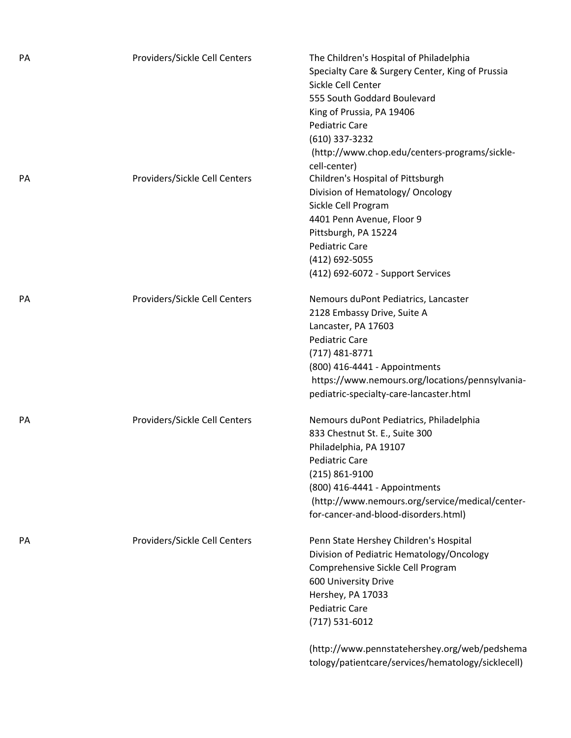| PA | Providers/Sickle Cell Centers | The Children's Hospital of Philadelphia<br>Specialty Care & Surgery Center, King of Prussia<br>Sickle Cell Center<br>555 South Goddard Boulevard<br>King of Prussia, PA 19406<br><b>Pediatric Care</b><br>(610) 337-3232<br>(http://www.chop.edu/centers-programs/sickle-  |
|----|-------------------------------|----------------------------------------------------------------------------------------------------------------------------------------------------------------------------------------------------------------------------------------------------------------------------|
| PA | Providers/Sickle Cell Centers | cell-center)<br>Children's Hospital of Pittsburgh<br>Division of Hematology/ Oncology<br>Sickle Cell Program<br>4401 Penn Avenue, Floor 9<br>Pittsburgh, PA 15224<br><b>Pediatric Care</b><br>(412) 692-5055<br>(412) 692-6072 - Support Services                          |
| PA | Providers/Sickle Cell Centers | Nemours duPont Pediatrics, Lancaster<br>2128 Embassy Drive, Suite A<br>Lancaster, PA 17603<br><b>Pediatric Care</b><br>$(717)$ 481-8771<br>(800) 416-4441 - Appointments<br>https://www.nemours.org/locations/pennsylvania-<br>pediatric-specialty-care-lancaster.html     |
| PA | Providers/Sickle Cell Centers | Nemours duPont Pediatrics, Philadelphia<br>833 Chestnut St. E., Suite 300<br>Philadelphia, PA 19107<br><b>Pediatric Care</b><br>(215) 861-9100<br>(800) 416-4441 - Appointments<br>(http://www.nemours.org/service/medical/center-<br>for-cancer-and-blood-disorders.html) |
| PA | Providers/Sickle Cell Centers | Penn State Hershey Children's Hospital<br>Division of Pediatric Hematology/Oncology<br>Comprehensive Sickle Cell Program<br>600 University Drive<br>Hershey, PA 17033<br><b>Pediatric Care</b><br>$(717) 531 - 6012$<br>(http://www.pennstatehershey.org/web/pedshema      |

tology/patientcare/services/hematology/sicklecell)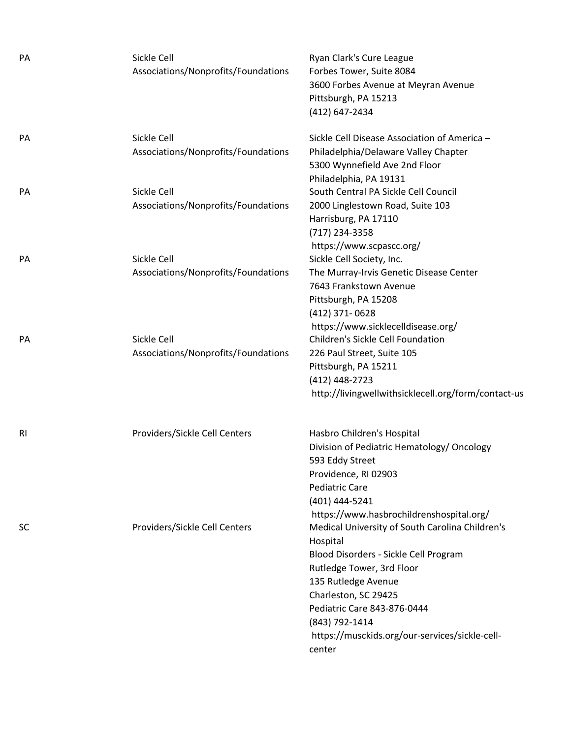| PA        | Sickle Cell<br>Associations/Nonprofits/Foundations | Ryan Clark's Cure League<br>Forbes Tower, Suite 8084<br>3600 Forbes Avenue at Meyran Avenue<br>Pittsburgh, PA 15213<br>(412) 647-2434                                                                                                                                                         |
|-----------|----------------------------------------------------|-----------------------------------------------------------------------------------------------------------------------------------------------------------------------------------------------------------------------------------------------------------------------------------------------|
| PA        | Sickle Cell<br>Associations/Nonprofits/Foundations | Sickle Cell Disease Association of America -<br>Philadelphia/Delaware Valley Chapter<br>5300 Wynnefield Ave 2nd Floor<br>Philadelphia, PA 19131                                                                                                                                               |
| <b>PA</b> | Sickle Cell<br>Associations/Nonprofits/Foundations | South Central PA Sickle Cell Council<br>2000 Linglestown Road, Suite 103<br>Harrisburg, PA 17110<br>(717) 234-3358<br>https://www.scpascc.org/                                                                                                                                                |
| PA        | Sickle Cell<br>Associations/Nonprofits/Foundations | Sickle Cell Society, Inc.<br>The Murray-Irvis Genetic Disease Center<br>7643 Frankstown Avenue<br>Pittsburgh, PA 15208<br>(412) 371-0628<br>https://www.sicklecelldisease.org/                                                                                                                |
| PA        | Sickle Cell<br>Associations/Nonprofits/Foundations | Children's Sickle Cell Foundation<br>226 Paul Street, Suite 105<br>Pittsburgh, PA 15211<br>(412) 448-2723<br>http://livingwellwithsicklecell.org/form/contact-us                                                                                                                              |
| <b>RI</b> | Providers/Sickle Cell Centers                      | Hasbro Children's Hospital<br>Division of Pediatric Hematology/ Oncology<br>593 Eddy Street<br>Providence, RI 02903<br><b>Pediatric Care</b><br>(401) 444-5241<br>https://www.hasbrochildrenshospital.org/                                                                                    |
| <b>SC</b> | Providers/Sickle Cell Centers                      | Medical University of South Carolina Children's<br>Hospital<br>Blood Disorders - Sickle Cell Program<br>Rutledge Tower, 3rd Floor<br>135 Rutledge Avenue<br>Charleston, SC 29425<br>Pediatric Care 843-876-0444<br>(843) 792-1414<br>https://musckids.org/our-services/sickle-cell-<br>center |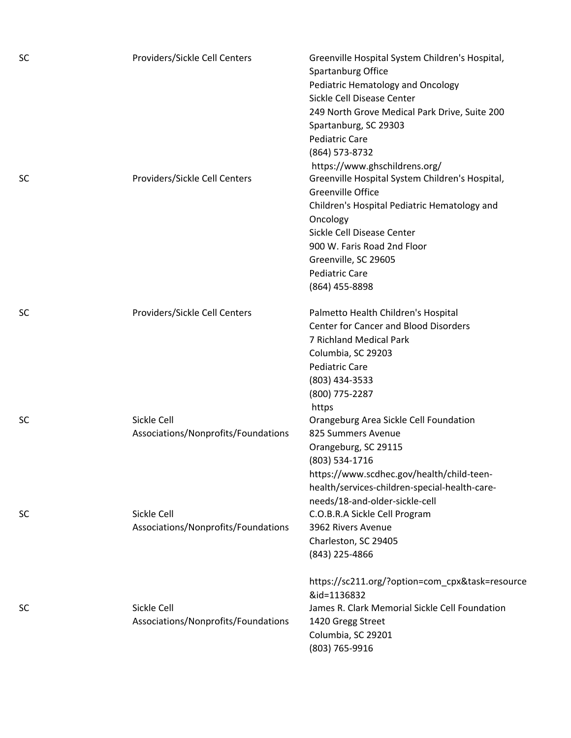| <b>SC</b> | Providers/Sickle Cell Centers                      | Greenville Hospital System Children's Hospital,<br>Spartanburg Office<br>Pediatric Hematology and Oncology<br>Sickle Cell Disease Center<br>249 North Grove Medical Park Drive, Suite 200<br>Spartanburg, SC 29303<br><b>Pediatric Care</b><br>(864) 573-8732                                            |
|-----------|----------------------------------------------------|----------------------------------------------------------------------------------------------------------------------------------------------------------------------------------------------------------------------------------------------------------------------------------------------------------|
| <b>SC</b> | Providers/Sickle Cell Centers                      | https://www.ghschildrens.org/<br>Greenville Hospital System Children's Hospital,<br><b>Greenville Office</b><br>Children's Hospital Pediatric Hematology and<br>Oncology<br>Sickle Cell Disease Center<br>900 W. Faris Road 2nd Floor<br>Greenville, SC 29605<br><b>Pediatric Care</b><br>(864) 455-8898 |
| <b>SC</b> | Providers/Sickle Cell Centers                      | Palmetto Health Children's Hospital<br><b>Center for Cancer and Blood Disorders</b><br>7 Richland Medical Park<br>Columbia, SC 29203<br><b>Pediatric Care</b><br>(803) 434-3533<br>(800) 775-2287<br>https                                                                                               |
| <b>SC</b> | Sickle Cell<br>Associations/Nonprofits/Foundations | Orangeburg Area Sickle Cell Foundation<br>825 Summers Avenue<br>Orangeburg, SC 29115<br>(803) 534-1716<br>https://www.scdhec.gov/health/child-teen-<br>health/services-children-special-health-care-<br>needs/18-and-older-sickle-cell                                                                   |
| <b>SC</b> | Sickle Cell<br>Associations/Nonprofits/Foundations | C.O.B.R.A Sickle Cell Program<br>3962 Rivers Avenue<br>Charleston, SC 29405<br>(843) 225-4866                                                                                                                                                                                                            |
| <b>SC</b> | Sickle Cell<br>Associations/Nonprofits/Foundations | https://sc211.org/?option=com_cpx&task=resource<br>&id=1136832<br>James R. Clark Memorial Sickle Cell Foundation<br>1420 Gregg Street<br>Columbia, SC 29201<br>(803) 765-9916                                                                                                                            |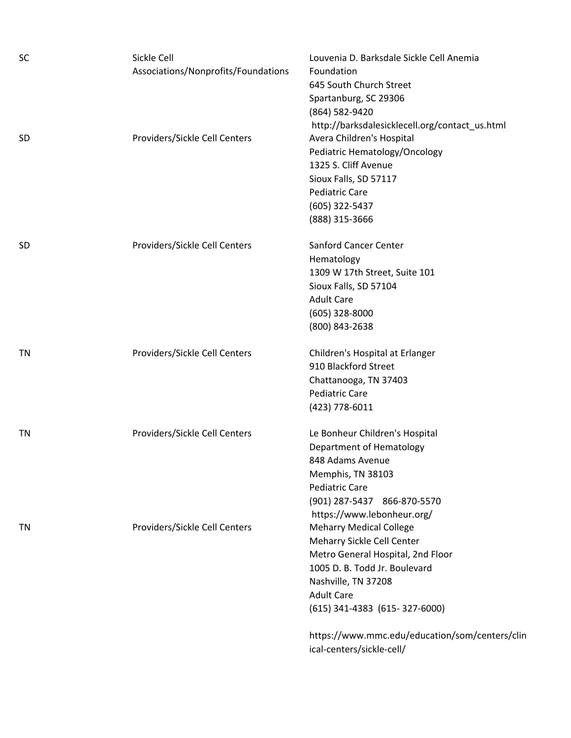| <b>SC</b> | Sickle Cell<br>Associations/Nonprofits/Foundations | Louvenia D. Barksdale Sickle Cell Anemia<br>Foundation<br>645 South Church Street |
|-----------|----------------------------------------------------|-----------------------------------------------------------------------------------|
|           |                                                    | Spartanburg, SC 29306                                                             |
|           |                                                    | (864) 582-9420                                                                    |
|           |                                                    | http://barksdalesicklecell.org/contact_us.html                                    |
| <b>SD</b> | Providers/Sickle Cell Centers                      | Avera Children's Hospital                                                         |
|           |                                                    | Pediatric Hematology/Oncology                                                     |
|           |                                                    | 1325 S. Cliff Avenue                                                              |
|           |                                                    | Sioux Falls, SD 57117                                                             |
|           |                                                    | <b>Pediatric Care</b>                                                             |
|           |                                                    | (605) 322-5437                                                                    |
|           |                                                    | (888) 315-3666                                                                    |
| <b>SD</b> | Providers/Sickle Cell Centers                      | <b>Sanford Cancer Center</b>                                                      |
|           |                                                    | Hematology                                                                        |
|           |                                                    | 1309 W 17th Street, Suite 101                                                     |
|           |                                                    | Sioux Falls, SD 57104                                                             |
|           |                                                    | <b>Adult Care</b>                                                                 |
|           |                                                    | $(605)$ 328-8000                                                                  |
|           |                                                    | (800) 843-2638                                                                    |
| ΤN        | Providers/Sickle Cell Centers                      | Children's Hospital at Erlanger                                                   |
|           |                                                    | 910 Blackford Street                                                              |
|           |                                                    | Chattanooga, TN 37403                                                             |
|           |                                                    | <b>Pediatric Care</b>                                                             |
|           |                                                    | (423) 778-6011                                                                    |
| ΤN        | Providers/Sickle Cell Centers                      | Le Bonheur Children's Hospital                                                    |
|           |                                                    | Department of Hematology                                                          |
|           |                                                    | 848 Adams Avenue                                                                  |
|           |                                                    | Memphis, TN 38103                                                                 |
|           |                                                    | <b>Pediatric Care</b>                                                             |
|           |                                                    | (901) 287-5437 866-870-5570                                                       |
|           |                                                    | https://www.lebonheur.org/                                                        |
| ΤN        | Providers/Sickle Cell Centers                      | <b>Meharry Medical College</b>                                                    |
|           |                                                    | Meharry Sickle Cell Center                                                        |
|           |                                                    | Metro General Hospital, 2nd Floor                                                 |
|           |                                                    | 1005 D. B. Todd Jr. Boulevard                                                     |
|           |                                                    | Nashville, TN 37208                                                               |
|           |                                                    | <b>Adult Care</b>                                                                 |
|           |                                                    | (615) 341-4383 (615-327-6000)                                                     |
|           |                                                    | https://www.mmc.edu/education/som/centers/clin                                    |

ical‐centers/sickle‐cell/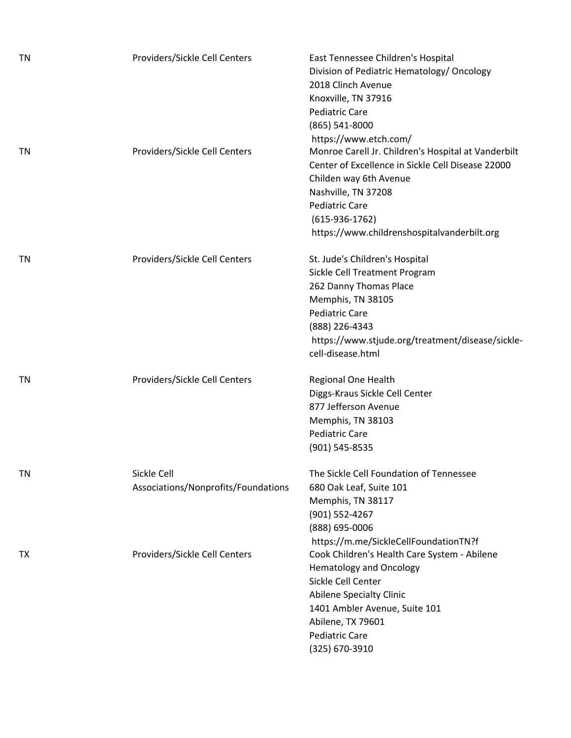| <b>TN</b> | Providers/Sickle Cell Centers                      | East Tennessee Children's Hospital<br>Division of Pediatric Hematology/ Oncology<br>2018 Clinch Avenue<br>Knoxville, TN 37916<br><b>Pediatric Care</b><br>(865) 541-8000                                                                                                       |
|-----------|----------------------------------------------------|--------------------------------------------------------------------------------------------------------------------------------------------------------------------------------------------------------------------------------------------------------------------------------|
| TN        | Providers/Sickle Cell Centers                      | https://www.etch.com/<br>Monroe Carell Jr. Children's Hospital at Vanderbilt<br>Center of Excellence in Sickle Cell Disease 22000<br>Childen way 6th Avenue<br>Nashville, TN 37208<br><b>Pediatric Care</b><br>$(615-936-1762)$<br>https://www.childrenshospitalvanderbilt.org |
| <b>TN</b> | Providers/Sickle Cell Centers                      | St. Jude's Children's Hospital<br>Sickle Cell Treatment Program<br>262 Danny Thomas Place<br>Memphis, TN 38105<br><b>Pediatric Care</b><br>(888) 226-4343<br>https://www.stjude.org/treatment/disease/sickle-<br>cell-disease.html                                             |
| TN        | Providers/Sickle Cell Centers                      | Regional One Health<br>Diggs-Kraus Sickle Cell Center<br>877 Jefferson Avenue<br>Memphis, TN 38103<br><b>Pediatric Care</b><br>(901) 545-8535                                                                                                                                  |
| <b>TN</b> | Sickle Cell<br>Associations/Nonprofits/Foundations | The Sickle Cell Foundation of Tennessee<br>680 Oak Leaf, Suite 101<br>Memphis, TN 38117<br>(901) 552-4267<br>(888) 695-0006<br>https://m.me/SickleCellFoundationTN?f                                                                                                           |
| TX        | Providers/Sickle Cell Centers                      | Cook Children's Health Care System - Abilene<br><b>Hematology and Oncology</b><br>Sickle Cell Center<br><b>Abilene Specialty Clinic</b><br>1401 Ambler Avenue, Suite 101<br>Abilene, TX 79601<br><b>Pediatric Care</b><br>(325) 670-3910                                       |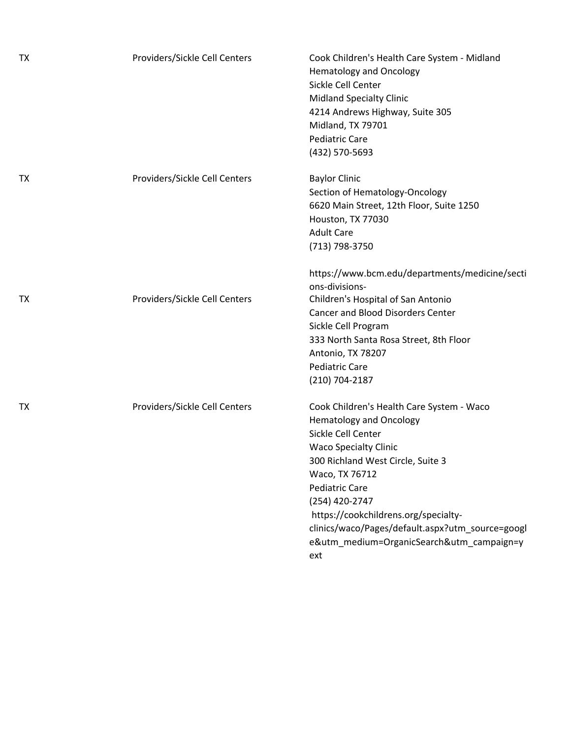| TΧ | Providers/Sickle Cell Centers | Cook Children's Health Care System - Midland<br><b>Hematology and Oncology</b><br>Sickle Cell Center<br><b>Midland Specialty Clinic</b><br>4214 Andrews Highway, Suite 305<br>Midland, TX 79701<br>Pediatric Care<br>(432) 570-5693                                                                                                                                                 |
|----|-------------------------------|-------------------------------------------------------------------------------------------------------------------------------------------------------------------------------------------------------------------------------------------------------------------------------------------------------------------------------------------------------------------------------------|
| TΧ | Providers/Sickle Cell Centers | <b>Baylor Clinic</b><br>Section of Hematology-Oncology<br>6620 Main Street, 12th Floor, Suite 1250<br>Houston, TX 77030<br><b>Adult Care</b><br>(713) 798-3750                                                                                                                                                                                                                      |
| ТX | Providers/Sickle Cell Centers | https://www.bcm.edu/departments/medicine/secti<br>ons-divisions-<br>Children's Hospital of San Antonio<br><b>Cancer and Blood Disorders Center</b><br>Sickle Cell Program<br>333 North Santa Rosa Street, 8th Floor<br>Antonio, TX 78207<br><b>Pediatric Care</b><br>(210) 704-2187                                                                                                 |
| TΧ | Providers/Sickle Cell Centers | Cook Children's Health Care System - Waco<br><b>Hematology and Oncology</b><br>Sickle Cell Center<br><b>Waco Specialty Clinic</b><br>300 Richland West Circle, Suite 3<br>Waco, TX 76712<br><b>Pediatric Care</b><br>(254) 420-2747<br>https://cookchildrens.org/specialty-<br>clinics/waco/Pages/default.aspx?utm_source=googl<br>e&utm_medium=OrganicSearch&utm_campaign=y<br>ext |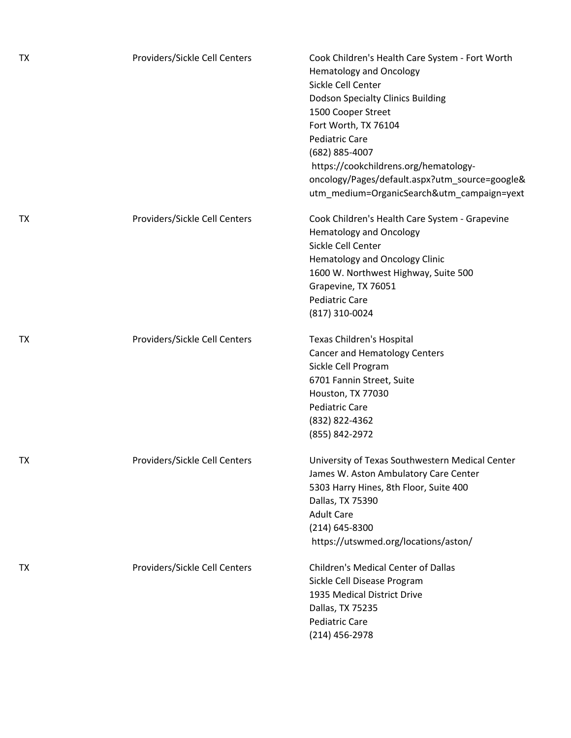| <b>TX</b> | Providers/Sickle Cell Centers | Cook Children's Health Care System - Fort Worth<br><b>Hematology and Oncology</b><br>Sickle Cell Center<br><b>Dodson Specialty Clinics Building</b><br>1500 Cooper Street<br>Fort Worth, TX 76104<br><b>Pediatric Care</b><br>(682) 885-4007<br>https://cookchildrens.org/hematology-<br>oncology/Pages/default.aspx?utm_source=google&<br>utm_medium=OrganicSearch&utm_campaign=yext |
|-----------|-------------------------------|---------------------------------------------------------------------------------------------------------------------------------------------------------------------------------------------------------------------------------------------------------------------------------------------------------------------------------------------------------------------------------------|
| <b>TX</b> | Providers/Sickle Cell Centers | Cook Children's Health Care System - Grapevine<br><b>Hematology and Oncology</b><br>Sickle Cell Center<br><b>Hematology and Oncology Clinic</b><br>1600 W. Northwest Highway, Suite 500<br>Grapevine, TX 76051<br><b>Pediatric Care</b><br>(817) 310-0024                                                                                                                             |
| <b>TX</b> | Providers/Sickle Cell Centers | Texas Children's Hospital<br>Cancer and Hematology Centers<br>Sickle Cell Program<br>6701 Fannin Street, Suite<br>Houston, TX 77030<br><b>Pediatric Care</b><br>(832) 822-4362<br>(855) 842-2972                                                                                                                                                                                      |
| TX        | Providers/Sickle Cell Centers | University of Texas Southwestern Medical Center<br>James W. Aston Ambulatory Care Center<br>5303 Harry Hines, 8th Floor, Suite 400<br>Dallas, TX 75390<br><b>Adult Care</b><br>(214) 645-8300<br>https://utswmed.org/locations/aston/                                                                                                                                                 |
| <b>TX</b> | Providers/Sickle Cell Centers | <b>Children's Medical Center of Dallas</b><br>Sickle Cell Disease Program<br>1935 Medical District Drive<br>Dallas, TX 75235<br><b>Pediatric Care</b><br>(214) 456-2978                                                                                                                                                                                                               |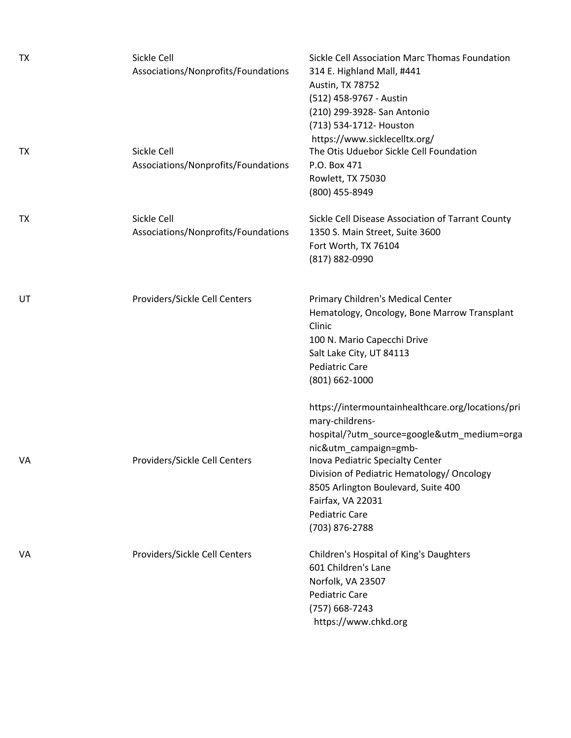| <b>TX</b> | Sickle Cell<br>Associations/Nonprofits/Foundations | Sickle Cell Association Marc Thomas Foundation<br>314 E. Highland Mall, #441<br>Austin, TX 78752<br>(512) 458-9767 - Austin<br>(210) 299-3928- San Antonio<br>(713) 534-1712- Houston                                                                                                                                                 |
|-----------|----------------------------------------------------|---------------------------------------------------------------------------------------------------------------------------------------------------------------------------------------------------------------------------------------------------------------------------------------------------------------------------------------|
| TX        | Sickle Cell<br>Associations/Nonprofits/Foundations | https://www.sicklecelltx.org/<br>The Otis Uduebor Sickle Cell Foundation<br>P.O. Box 471<br>Rowlett, TX 75030<br>(800) 455-8949                                                                                                                                                                                                       |
| ТX        | Sickle Cell<br>Associations/Nonprofits/Foundations | Sickle Cell Disease Association of Tarrant County<br>1350 S. Main Street, Suite 3600<br>Fort Worth, TX 76104<br>(817) 882-0990                                                                                                                                                                                                        |
| UT        | Providers/Sickle Cell Centers                      | Primary Children's Medical Center<br>Hematology, Oncology, Bone Marrow Transplant<br>Clinic<br>100 N. Mario Capecchi Drive<br>Salt Lake City, UT 84113<br><b>Pediatric Care</b><br>$(801) 662 - 1000$                                                                                                                                 |
| VA        | Providers/Sickle Cell Centers                      | https://intermountainhealthcare.org/locations/pri<br>mary-childrens-<br>hospital/?utm_source=google&utm_medium=orga<br>nic&utm_campaign=gmb-<br>Inova Pediatric Specialty Center<br>Division of Pediatric Hematology/ Oncology<br>8505 Arlington Boulevard, Suite 400<br>Fairfax, VA 22031<br><b>Pediatric Care</b><br>(703) 876-2788 |
| VA        | Providers/Sickle Cell Centers                      | Children's Hospital of King's Daughters<br>601 Children's Lane<br>Norfolk, VA 23507<br><b>Pediatric Care</b><br>(757) 668-7243<br>https://www.chkd.org                                                                                                                                                                                |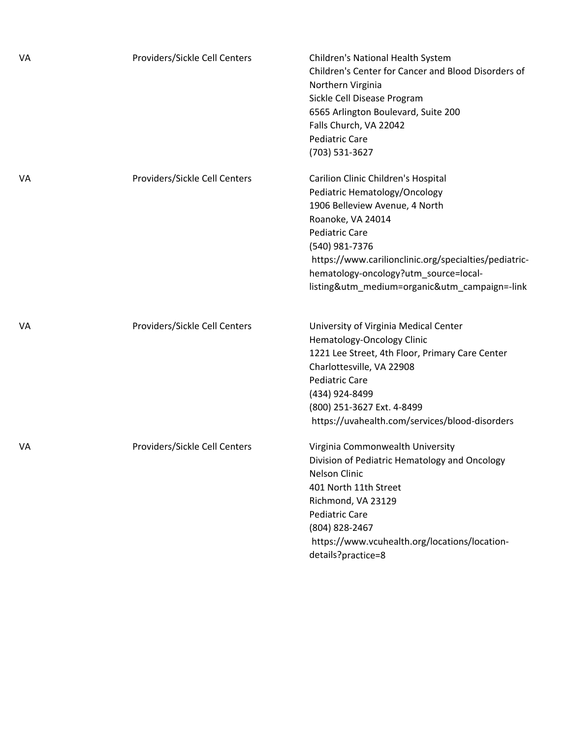| VA | Providers/Sickle Cell Centers | Children's National Health System<br>Children's Center for Cancer and Blood Disorders of<br>Northern Virginia<br>Sickle Cell Disease Program<br>6565 Arlington Boulevard, Suite 200<br>Falls Church, VA 22042<br><b>Pediatric Care</b><br>(703) 531-3627                                                                  |
|----|-------------------------------|---------------------------------------------------------------------------------------------------------------------------------------------------------------------------------------------------------------------------------------------------------------------------------------------------------------------------|
| VA | Providers/Sickle Cell Centers | Carilion Clinic Children's Hospital<br>Pediatric Hematology/Oncology<br>1906 Belleview Avenue, 4 North<br>Roanoke, VA 24014<br><b>Pediatric Care</b><br>(540) 981-7376<br>https://www.carilionclinic.org/specialties/pediatric-<br>hematology-oncology?utm_source=local-<br>listing&utm_medium=organic&utm_campaign=-link |
| VA | Providers/Sickle Cell Centers | University of Virginia Medical Center<br>Hematology-Oncology Clinic<br>1221 Lee Street, 4th Floor, Primary Care Center<br>Charlottesville, VA 22908<br><b>Pediatric Care</b><br>(434) 924-8499<br>(800) 251-3627 Ext. 4-8499<br>https://uvahealth.com/services/blood-disorders                                            |
| VA | Providers/Sickle Cell Centers | Virginia Commonwealth University<br>Division of Pediatric Hematology and Oncology<br>Nelson Clinic<br>401 North 11th Street<br>Richmond, VA 23129<br><b>Pediatric Care</b><br>(804) 828-2467<br>https://www.vcuhealth.org/locations/location-<br>details?practice=8                                                       |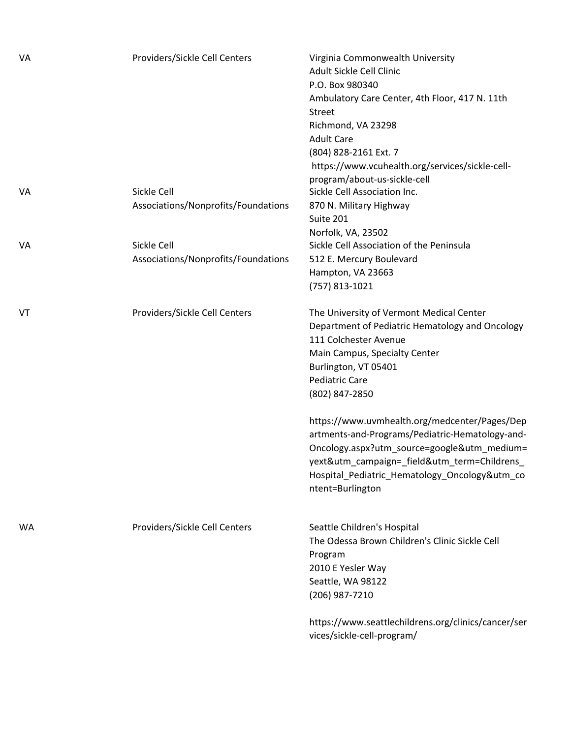| VA | Providers/Sickle Cell Centers                      | Virginia Commonwealth University<br>Adult Sickle Cell Clinic<br>P.O. Box 980340<br>Ambulatory Care Center, 4th Floor, 417 N. 11th<br><b>Street</b><br>Richmond, VA 23298<br><b>Adult Care</b><br>(804) 828-2161 Ext. 7<br>https://www.vcuhealth.org/services/sickle-cell-<br>program/about-us-sickle-cell |
|----|----------------------------------------------------|-----------------------------------------------------------------------------------------------------------------------------------------------------------------------------------------------------------------------------------------------------------------------------------------------------------|
| VA | Sickle Cell<br>Associations/Nonprofits/Foundations | Sickle Cell Association Inc.<br>870 N. Military Highway<br>Suite 201<br>Norfolk, VA, 23502                                                                                                                                                                                                                |
| VA | Sickle Cell<br>Associations/Nonprofits/Foundations | Sickle Cell Association of the Peninsula<br>512 E. Mercury Boulevard<br>Hampton, VA 23663<br>(757) 813-1021                                                                                                                                                                                               |
| VT | Providers/Sickle Cell Centers                      | The University of Vermont Medical Center<br>Department of Pediatric Hematology and Oncology<br>111 Colchester Avenue<br>Main Campus, Specialty Center<br>Burlington, VT 05401<br><b>Pediatric Care</b><br>(802) 847-2850                                                                                  |
|    |                                                    | https://www.uvmhealth.org/medcenter/Pages/Dep<br>artments-and-Programs/Pediatric-Hematology-and-<br>Oncology.aspx?utm_source=google&utm_medium=<br>yext&utm_campaign=_field&utm_term=Childrens_<br>Hospital_Pediatric_Hematology_Oncology&utm_co<br>ntent=Burlington                                      |
| WA | Providers/Sickle Cell Centers                      | Seattle Children's Hospital<br>The Odessa Brown Children's Clinic Sickle Cell<br>Program<br>2010 E Yesler Way<br>Seattle, WA 98122<br>(206) 987-7210<br>https://www.seattlechildrens.org/clinics/cancer/ser                                                                                               |
|    |                                                    | vices/sickle-cell-program/                                                                                                                                                                                                                                                                                |